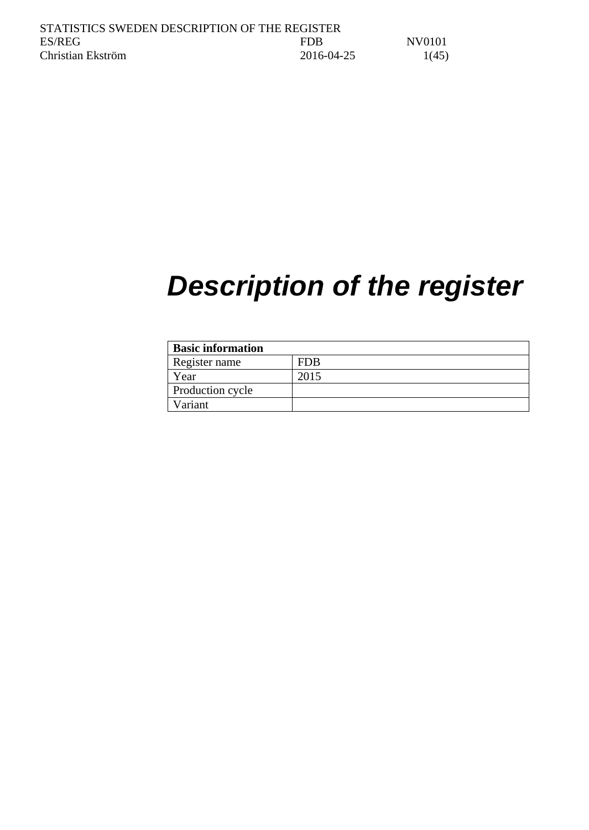# *Description of the register*

| <b>Basic information</b> |      |
|--------------------------|------|
| Register name            | FDB  |
| Year                     | 2015 |
| Production cycle         |      |
| Variant                  |      |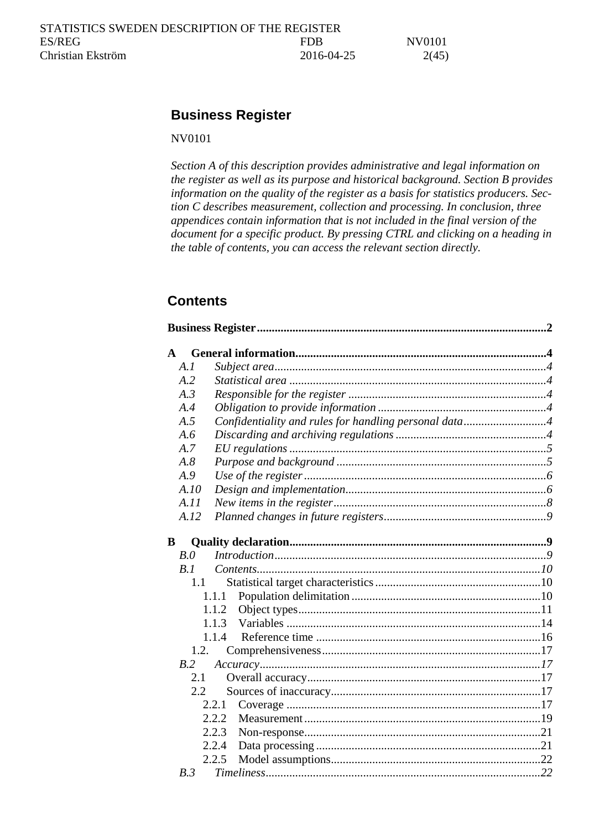# <span id="page-1-0"></span>**Business Register**

## NV0101

*Section A of this description provides administrative and legal information on the register as well as its purpose and historical background. Section B provides information on the quality of the register as a basis for statistics producers. Section C describes measurement, collection and processing. In conclusion, three appendices contain information that is not included in the final version of the document for a specific product. By pressing CTRL and clicking on a heading in the table of contents, you can access the relevant section directly.*

# **Contents**

| ${\bf A}$  |       |                                                       |  |
|------------|-------|-------------------------------------------------------|--|
| A.1        |       |                                                       |  |
| A.2        |       |                                                       |  |
| A.3        |       |                                                       |  |
| A.4        |       |                                                       |  |
| A.5        |       | Confidentiality and rules for handling personal data4 |  |
| A.6        |       |                                                       |  |
| A.7        |       |                                                       |  |
| $A.\delta$ |       |                                                       |  |
| A.9        |       |                                                       |  |
|            | A.IO  |                                                       |  |
|            | A.II  |                                                       |  |
|            | A.12  |                                                       |  |
| B          |       |                                                       |  |
| B.0        |       |                                                       |  |
| B.1        |       |                                                       |  |
|            | 1.1   |                                                       |  |
|            | 1.1.1 |                                                       |  |
|            | 1.1.2 |                                                       |  |
|            | 1.1.3 |                                                       |  |
|            | 1.1.4 |                                                       |  |
|            | 1.2.  |                                                       |  |
|            | B.2   |                                                       |  |
|            | 2.1   |                                                       |  |
|            | 2.2   |                                                       |  |
|            | 2.2.1 |                                                       |  |
|            | 2.2.2 |                                                       |  |
|            | 2.2.3 |                                                       |  |
|            | 2.2.4 |                                                       |  |
|            | 2.2.5 |                                                       |  |
| B.3        |       |                                                       |  |
|            |       |                                                       |  |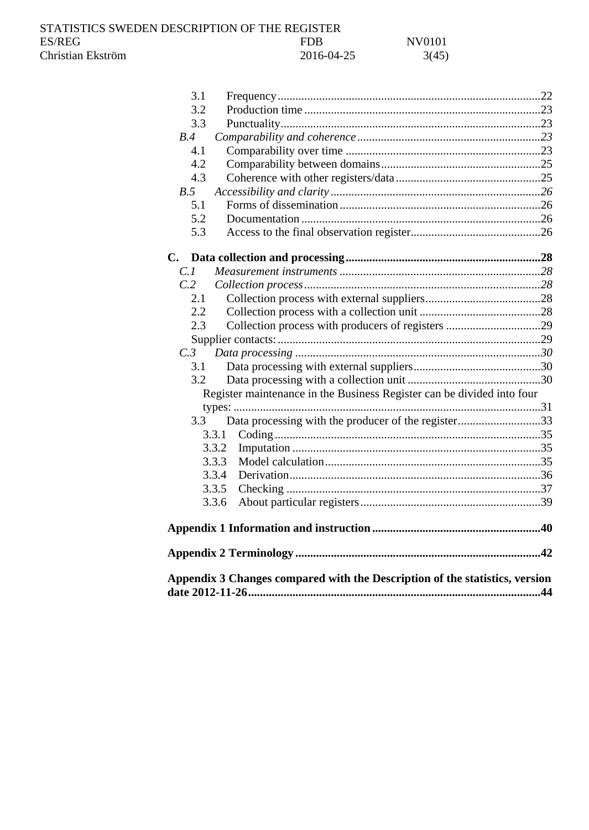STATISTICS SWEDEN DESCRIPTION OF THE REGISTER ES/REG ES/REG NV0101 Christian Ekström 2016-04-25 3(45)

| 3.1 |                                                                             |  |
|-----|-----------------------------------------------------------------------------|--|
| 3.2 |                                                                             |  |
| 3.3 |                                                                             |  |
| B.4 |                                                                             |  |
| 4.1 |                                                                             |  |
| 4.2 |                                                                             |  |
| 4.3 |                                                                             |  |
| B.5 |                                                                             |  |
| 5.1 |                                                                             |  |
| 5.2 |                                                                             |  |
| 5.3 |                                                                             |  |
|     |                                                                             |  |
| C.1 |                                                                             |  |
| C.2 |                                                                             |  |
| 2.1 |                                                                             |  |
| 2.2 |                                                                             |  |
| 2.3 |                                                                             |  |
|     |                                                                             |  |
| C.3 |                                                                             |  |
| 3.1 |                                                                             |  |
| 3.2 |                                                                             |  |
|     | Register maintenance in the Business Register can be divided into four      |  |
|     |                                                                             |  |
| 3.3 | Data processing with the producer of the register33                         |  |
|     | 3.3.1                                                                       |  |
|     | 3.3.2                                                                       |  |
|     | 3.3.3                                                                       |  |
|     | 3.3.4                                                                       |  |
|     | 3.3.5                                                                       |  |
|     | 3.3.6                                                                       |  |
|     |                                                                             |  |
|     |                                                                             |  |
|     | Appendix 3 Changes compared with the Description of the statistics, version |  |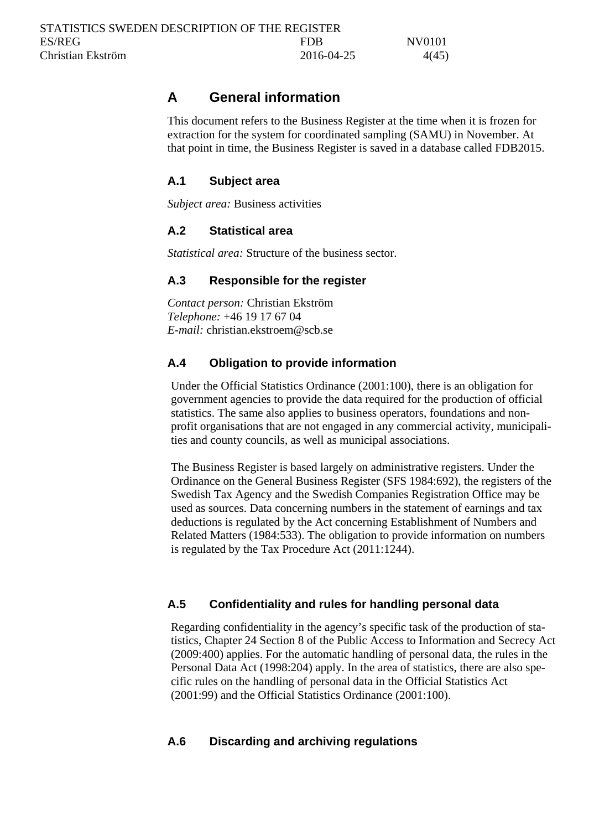# <span id="page-3-0"></span>**A General information**

This document refers to the Business Register at the time when it is frozen for extraction for the system for coordinated sampling (SAMU) in November. At that point in time, the Business Register is saved in a database called FDB2015.

## <span id="page-3-1"></span>**A.1 Subject area**

*Subject area:* Business activities

## <span id="page-3-2"></span>**A.2 Statistical area**

*Statistical area:* Structure of the business sector.

## <span id="page-3-3"></span>**A.3 Responsible for the register**

*Contact person:* Christian Ekström *Telephone:* +46 19 17 67 04 *E-mail:* christian.ekstroem@scb.se

## <span id="page-3-4"></span>**A.4 Obligation to provide information**

Under the Official Statistics Ordinance (2001:100), there is an obligation for government agencies to provide the data required for the production of official statistics. The same also applies to business operators, foundations and nonprofit organisations that are not engaged in any commercial activity, municipalities and county councils, as well as municipal associations.

The Business Register is based largely on administrative registers. Under the Ordinance on the General Business Register (SFS 1984:692), the registers of the Swedish Tax Agency and the Swedish Companies Registration Office may be used as sources. Data concerning numbers in the statement of earnings and tax deductions is regulated by the Act concerning Establishment of Numbers and Related Matters (1984:533). The obligation to provide information on numbers is regulated by the Tax Procedure Act (2011:1244).

## <span id="page-3-5"></span>**A.5 Confidentiality and rules for handling personal data**

Regarding confidentiality in the agency's specific task of the production of statistics, Chapter 24 Section 8 of the Public Access to Information and Secrecy Act (2009:400) applies. For the automatic handling of personal data, the rules in the Personal Data Act (1998:204) apply. In the area of statistics, there are also specific rules on the handling of personal data in the Official Statistics Act (2001:99) and the Official Statistics Ordinance (2001:100).

## <span id="page-3-6"></span>**A.6 Discarding and archiving regulations**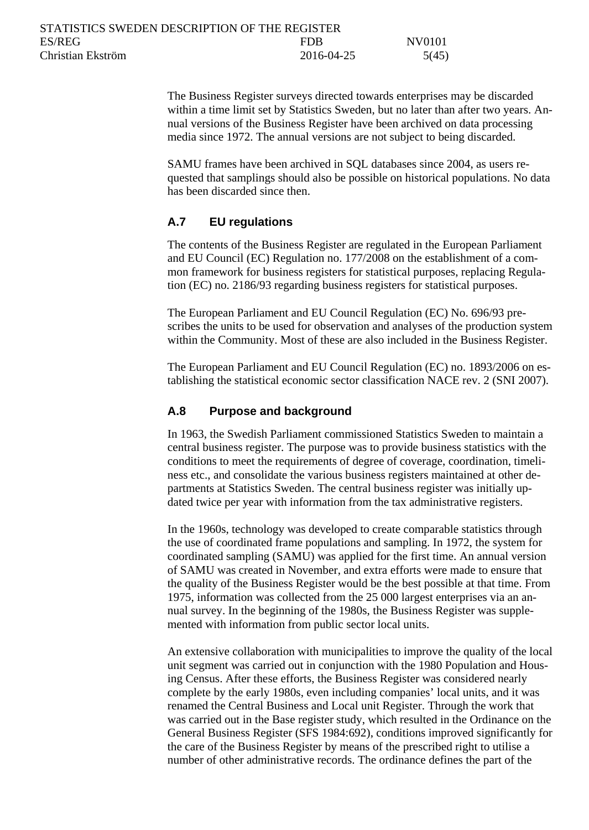| STATISTICS SWEDEN DESCRIPTION OF THE REGISTER |            |        |
|-----------------------------------------------|------------|--------|
| ES/REG                                        | <b>FDR</b> | NV0101 |
| Christian Ekström                             | 2016-04-25 | 5(45)  |

The Business Register surveys directed towards enterprises may be discarded within a time limit set by Statistics Sweden, but no later than after two years. Annual versions of the Business Register have been archived on data processing media since 1972. The annual versions are not subject to being discarded.

SAMU frames have been archived in SQL databases since 2004, as users requested that samplings should also be possible on historical populations. No data has been discarded since then.

## <span id="page-4-0"></span>**A.7 EU regulations**

The contents of the Business Register are regulated in the European Parliament and EU Council (EC) Regulation no. 177/2008 on the establishment of a common framework for business registers for statistical purposes, replacing Regulation (EC) no. 2186/93 regarding business registers for statistical purposes.

The European Parliament and EU Council Regulation (EC) No. 696/93 prescribes the units to be used for observation and analyses of the production system within the Community. Most of these are also included in the Business Register.

The European Parliament and EU Council Regulation (EC) no. 1893/2006 on establishing the statistical economic sector classification NACE rev. 2 (SNI 2007).

#### <span id="page-4-1"></span>**A.8 Purpose and background**

In 1963, the Swedish Parliament commissioned Statistics Sweden to maintain a central business register. The purpose was to provide business statistics with the conditions to meet the requirements of degree of coverage, coordination, timeliness etc., and consolidate the various business registers maintained at other departments at Statistics Sweden. The central business register was initially updated twice per year with information from the tax administrative registers.

In the 1960s, technology was developed to create comparable statistics through the use of coordinated frame populations and sampling. In 1972, the system for coordinated sampling (SAMU) was applied for the first time. An annual version of SAMU was created in November, and extra efforts were made to ensure that the quality of the Business Register would be the best possible at that time. From 1975, information was collected from the 25 000 largest enterprises via an annual survey. In the beginning of the 1980s, the Business Register was supplemented with information from public sector local units.

An extensive collaboration with municipalities to improve the quality of the local unit segment was carried out in conjunction with the 1980 Population and Housing Census. After these efforts, the Business Register was considered nearly complete by the early 1980s, even including companies' local units, and it was renamed the Central Business and Local unit Register. Through the work that was carried out in the Base register study, which resulted in the Ordinance on the General Business Register (SFS 1984:692), conditions improved significantly for the care of the Business Register by means of the prescribed right to utilise a number of other administrative records. The ordinance defines the part of the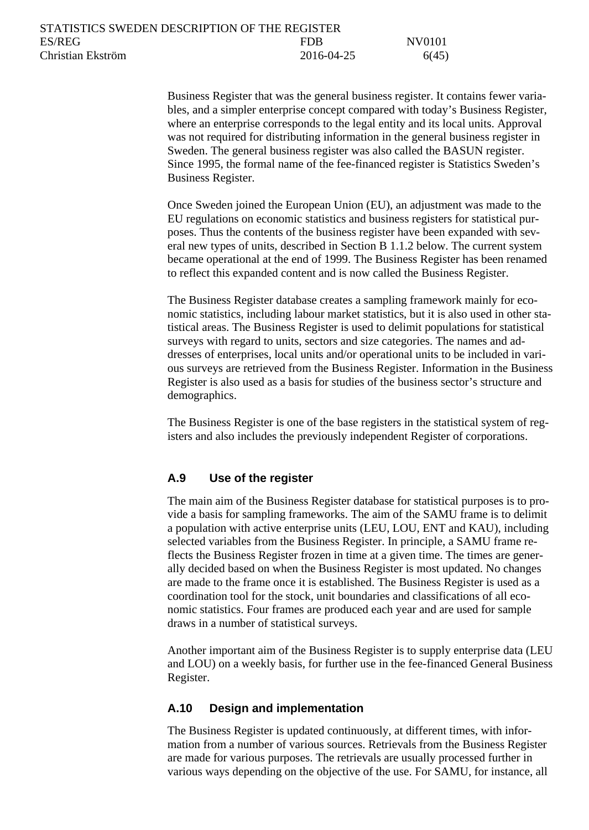| STATISTICS SWEDEN DESCRIPTION OF THE REGISTER |            |        |
|-----------------------------------------------|------------|--------|
| ES/REG                                        | FDB        | NV0101 |
| Christian Ekström                             | 2016-04-25 | 6(45)  |

Business Register that was the general business register. It contains fewer variables, and a simpler enterprise concept compared with today's Business Register, where an enterprise corresponds to the legal entity and its local units. Approval was not required for distributing information in the general business register in Sweden. The general business register was also called the BASUN register. Since 1995, the formal name of the fee-financed register is Statistics Sweden's Business Register.

Once Sweden joined the European Union (EU), an adjustment was made to the EU regulations on economic statistics and business registers for statistical purposes. Thus the contents of the business register have been expanded with several new types of units, described in Section B 1.1.2 below. The current system became operational at the end of 1999. The Business Register has been renamed to reflect this expanded content and is now called the Business Register.

The Business Register database creates a sampling framework mainly for economic statistics, including labour market statistics, but it is also used in other statistical areas. The Business Register is used to delimit populations for statistical surveys with regard to units, sectors and size categories. The names and addresses of enterprises, local units and/or operational units to be included in various surveys are retrieved from the Business Register. Information in the Business Register is also used as a basis for studies of the business sector's structure and demographics.

The Business Register is one of the base registers in the statistical system of registers and also includes the previously independent Register of corporations.

### <span id="page-5-0"></span>**A.9 Use of the register**

The main aim of the Business Register database for statistical purposes is to provide a basis for sampling frameworks. The aim of the SAMU frame is to delimit a population with active enterprise units (LEU, LOU, ENT and KAU), including selected variables from the Business Register. In principle, a SAMU frame reflects the Business Register frozen in time at a given time. The times are generally decided based on when the Business Register is most updated. No changes are made to the frame once it is established. The Business Register is used as a coordination tool for the stock, unit boundaries and classifications of all economic statistics. Four frames are produced each year and are used for sample draws in a number of statistical surveys.

Another important aim of the Business Register is to supply enterprise data (LEU and LOU) on a weekly basis, for further use in the fee-financed General Business Register.

#### <span id="page-5-1"></span>**A.10 Design and implementation**

The Business Register is updated continuously, at different times, with information from a number of various sources. Retrievals from the Business Register are made for various purposes. The retrievals are usually processed further in various ways depending on the objective of the use. For SAMU, for instance, all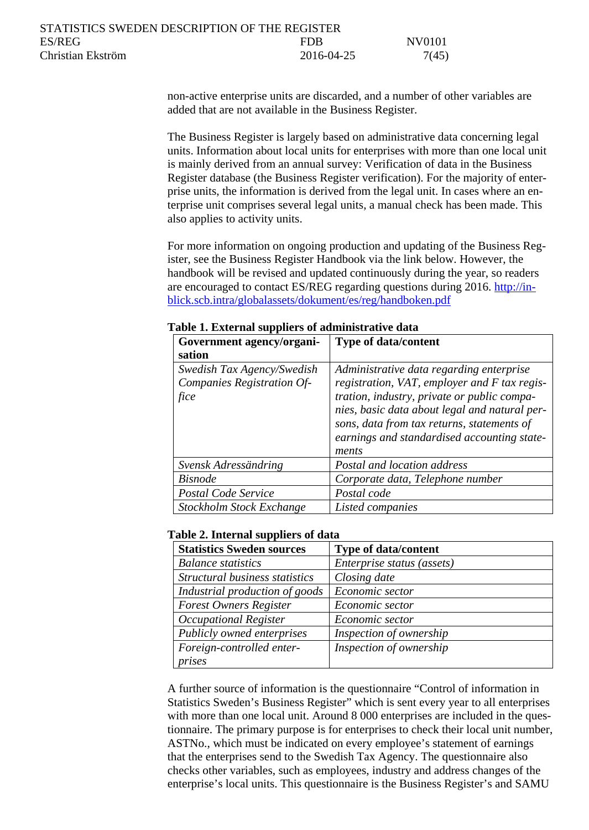| STATISTICS SWEDEN DESCRIPTION OF THE REGISTER |            |        |
|-----------------------------------------------|------------|--------|
| ES/REG                                        | FDB        | NV0101 |
| Christian Ekström                             | 2016-04-25 | 7(45)  |

non-active enterprise units are discarded, and a number of other variables are added that are not available in the Business Register.

The Business Register is largely based on administrative data concerning legal units. Information about local units for enterprises with more than one local unit is mainly derived from an annual survey: Verification of data in the Business Register database (the Business Register verification). For the majority of enterprise units, the information is derived from the legal unit. In cases where an enterprise unit comprises several legal units, a manual check has been made. This also applies to activity units.

For more information on ongoing production and updating of the Business Register, see the Business Register Handbook via the link below. However, the handbook will be revised and updated continuously during the year, so readers are encouraged to contact ES/REG regarding questions during 2016. [http://in](http://inblick.scb.intra/globalassets/dokument/es/reg/handboken.pdf)[blick.scb.intra/globalassets/dokument/es/reg/handboken.pdf](http://inblick.scb.intra/globalassets/dokument/es/reg/handboken.pdf)

| Government agency/organi-                                        | <b>Type of data/content</b>                                                                                                                                                                                                                                                                    |
|------------------------------------------------------------------|------------------------------------------------------------------------------------------------------------------------------------------------------------------------------------------------------------------------------------------------------------------------------------------------|
| sation                                                           |                                                                                                                                                                                                                                                                                                |
| Swedish Tax Agency/Swedish<br>Companies Registration Of-<br>fice | Administrative data regarding enterprise<br>registration, VAT, employer and F tax regis-<br>tration, industry, private or public compa-<br>nies, basic data about legal and natural per-<br>sons, data from tax returns, statements of<br>earnings and standardised accounting state-<br>ments |
| Svensk Adressändring                                             | Postal and location address                                                                                                                                                                                                                                                                    |
| <b>Bisnode</b>                                                   | Corporate data, Telephone number                                                                                                                                                                                                                                                               |
| Postal Code Service                                              | Postal code                                                                                                                                                                                                                                                                                    |
| <b>Stockholm Stock Exchange</b>                                  | Listed companies                                                                                                                                                                                                                                                                               |

**Table 1. External suppliers of administrative data**

#### **Table 2. Internal suppliers of data**

| <b>Statistics Sweden sources</b> | <b>Type of data/content</b> |
|----------------------------------|-----------------------------|
| <b>Balance</b> statistics        | Enterprise status (assets)  |
| Structural business statistics   | Closing date                |
| Industrial production of goods   | Economic sector             |
| <b>Forest Owners Register</b>    | Economic sector             |
| Occupational Register            | Economic sector             |
| Publicly owned enterprises       | Inspection of ownership     |
| Foreign-controlled enter-        | Inspection of ownership     |
| prises                           |                             |

A further source of information is the questionnaire "Control of information in Statistics Sweden's Business Register" which is sent every year to all enterprises with more than one local unit. Around 8 000 enterprises are included in the questionnaire. The primary purpose is for enterprises to check their local unit number, ASTNo., which must be indicated on every employee's statement of earnings that the enterprises send to the Swedish Tax Agency. The questionnaire also checks other variables, such as employees, industry and address changes of the enterprise's local units. This questionnaire is the Business Register's and SAMU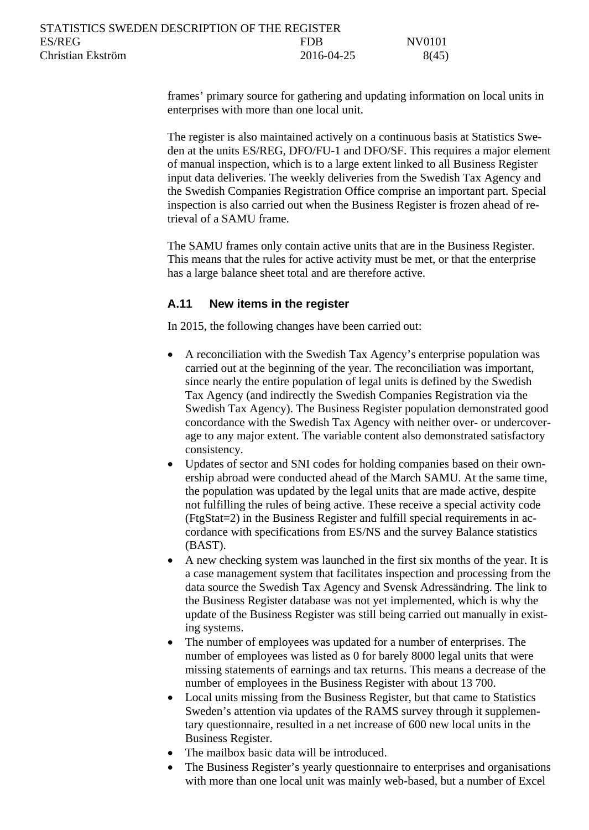| STATISTICS SWEDEN DESCRIPTION OF THE REGISTER |            |        |
|-----------------------------------------------|------------|--------|
| ES/REG                                        | FDB        | NV0101 |
| Christian Ekström                             | 2016-04-25 | 8(45)  |

frames' primary source for gathering and updating information on local units in enterprises with more than one local unit.

The register is also maintained actively on a continuous basis at Statistics Sweden at the units ES/REG, DFO/FU-1 and DFO/SF. This requires a major element of manual inspection, which is to a large extent linked to all Business Register input data deliveries. The weekly deliveries from the Swedish Tax Agency and the Swedish Companies Registration Office comprise an important part. Special inspection is also carried out when the Business Register is frozen ahead of retrieval of a SAMU frame.

The SAMU frames only contain active units that are in the Business Register. This means that the rules for active activity must be met, or that the enterprise has a large balance sheet total and are therefore active.

### <span id="page-7-0"></span>**A.11 New items in the register**

In 2015, the following changes have been carried out:

- A reconciliation with the Swedish Tax Agency's enterprise population was carried out at the beginning of the year. The reconciliation was important, since nearly the entire population of legal units is defined by the Swedish Tax Agency (and indirectly the Swedish Companies Registration via the Swedish Tax Agency). The Business Register population demonstrated good concordance with the Swedish Tax Agency with neither over- or undercoverage to any major extent. The variable content also demonstrated satisfactory consistency.
- Updates of sector and SNI codes for holding companies based on their ownership abroad were conducted ahead of the March SAMU. At the same time, the population was updated by the legal units that are made active, despite not fulfilling the rules of being active. These receive a special activity code (FtgStat=2) in the Business Register and fulfill special requirements in accordance with specifications from ES/NS and the survey Balance statistics (BAST).
- A new checking system was launched in the first six months of the year. It is a case management system that facilitates inspection and processing from the data source the Swedish Tax Agency and Svensk Adressändring. The link to the Business Register database was not yet implemented, which is why the update of the Business Register was still being carried out manually in existing systems.
- The number of employees was updated for a number of enterprises. The number of employees was listed as 0 for barely 8000 legal units that were missing statements of earnings and tax returns. This means a decrease of the number of employees in the Business Register with about 13 700.
- Local units missing from the Business Register, but that came to Statistics Sweden's attention via updates of the RAMS survey through it supplementary questionnaire, resulted in a net increase of 600 new local units in the Business Register.
- The mailbox basic data will be introduced.
- The Business Register's yearly questionnaire to enterprises and organisations with more than one local unit was mainly web-based, but a number of Excel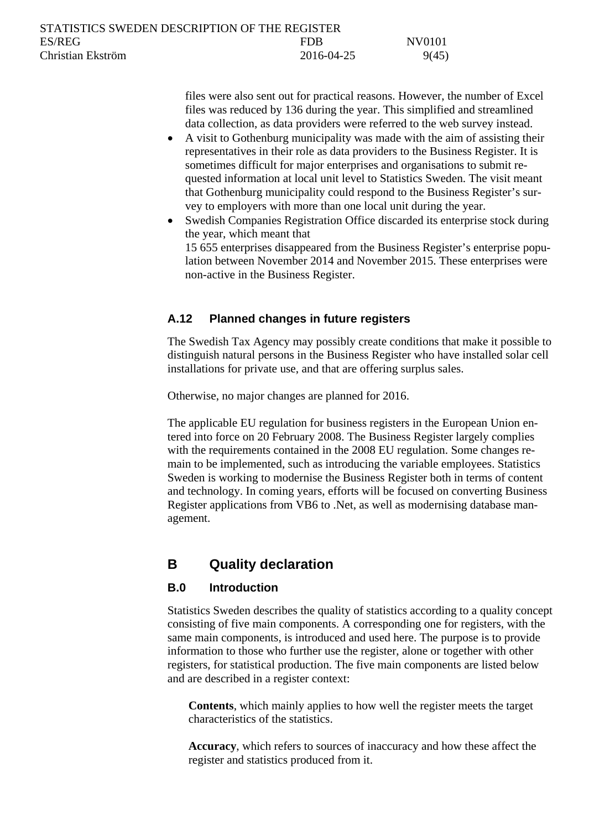| STATISTICS SWEDEN DESCRIPTION OF THE REGISTER |            |        |
|-----------------------------------------------|------------|--------|
| ES/REG                                        | <b>FDR</b> | NV0101 |
| Christian Ekström                             | 2016-04-25 | 9(45)  |

files were also sent out for practical reasons. However, the number of Excel files was reduced by 136 during the year. This simplified and streamlined data collection, as data providers were referred to the web survey instead.

- A visit to Gothenburg municipality was made with the aim of assisting their representatives in their role as data providers to the Business Register. It is sometimes difficult for major enterprises and organisations to submit requested information at local unit level to Statistics Sweden. The visit meant that Gothenburg municipality could respond to the Business Register's survey to employers with more than one local unit during the year.
- Swedish Companies Registration Office discarded its enterprise stock during the year, which meant that 15 655 enterprises disappeared from the Business Register's enterprise population between November 2014 and November 2015. These enterprises were non-active in the Business Register.

## <span id="page-8-0"></span>**A.12 Planned changes in future registers**

The Swedish Tax Agency may possibly create conditions that make it possible to distinguish natural persons in the Business Register who have installed solar cell installations for private use, and that are offering surplus sales.

Otherwise, no major changes are planned for 2016.

The applicable EU regulation for business registers in the European Union entered into force on 20 February 2008. The Business Register largely complies with the requirements contained in the 2008 EU regulation. Some changes remain to be implemented, such as introducing the variable employees. Statistics Sweden is working to modernise the Business Register both in terms of content and technology. In coming years, efforts will be focused on converting Business Register applications from VB6 to .Net, as well as modernising database management.

# <span id="page-8-1"></span>**B Quality declaration**

## <span id="page-8-2"></span>**B.0 Introduction**

Statistics Sweden describes the quality of statistics according to a quality concept consisting of five main components. A corresponding one for registers, with the same main components, is introduced and used here. The purpose is to provide information to those who further use the register, alone or together with other registers, for statistical production. The five main components are listed below and are described in a register context:

**Contents**, which mainly applies to how well the register meets the target characteristics of the statistics.

**Accuracy**, which refers to sources of inaccuracy and how these affect the register and statistics produced from it.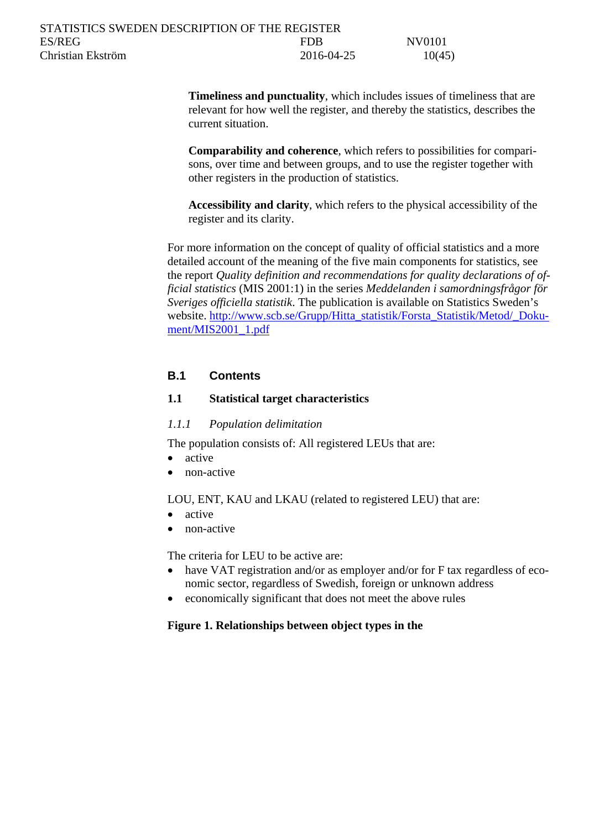| STATISTICS SWEDEN DESCRIPTION OF THE REGISTER |            |        |
|-----------------------------------------------|------------|--------|
| ES/REG                                        | FDB        | NV0101 |
| Christian Ekström                             | 2016-04-25 | 10(45) |

**Timeliness and punctuality**, which includes issues of timeliness that are relevant for how well the register, and thereby the statistics, describes the current situation.

**Comparability and coherence**, which refers to possibilities for comparisons, over time and between groups, and to use the register together with other registers in the production of statistics.

**Accessibility and clarity**, which refers to the physical accessibility of the register and its clarity.

For more information on the concept of quality of official statistics and a more detailed account of the meaning of the five main components for statistics, see the report *Quality definition and recommendations for quality declarations of official statistics* (MIS 2001:1) in the series *Meddelanden i samordningsfrågor för Sveriges officiella statistik*. The publication is available on Statistics Sweden's website. [http://www.scb.se/Grupp/Hitta\\_statistik/Forsta\\_Statistik/Metod/\\_Doku](http://www.scb.se/Grupp/Hitta_statistik/Forsta_Statistik/Metod/_Dokument/MIS2001_1.pdf)[ment/MIS2001\\_1.pdf](http://www.scb.se/Grupp/Hitta_statistik/Forsta_Statistik/Metod/_Dokument/MIS2001_1.pdf)

## <span id="page-9-0"></span>**B.1 Contents**

## <span id="page-9-1"></span>**1.1 Statistical target characteristics**

#### <span id="page-9-2"></span>*1.1.1 Population delimitation*

The population consists of: All registered LEUs that are:

- active
- non-active

LOU, ENT, KAU and LKAU (related to registered LEU) that are:

- active
- non-active

The criteria for LEU to be active are:

- have VAT registration and/or as employer and/or for F tax regardless of economic sector, regardless of Swedish, foreign or unknown address
- economically significant that does not meet the above rules

#### **Figure 1. Relationships between object types in the**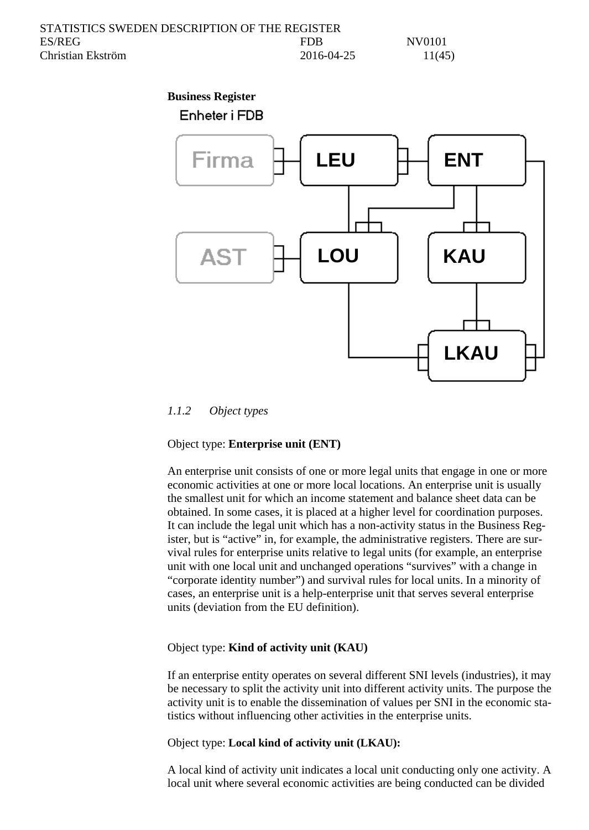| STATISTICS SWEDEN DESCRIPTION OF THE REGISTER |            |        |
|-----------------------------------------------|------------|--------|
| ES/REG                                        | <b>FDB</b> | NV0101 |
| Christian Ekström                             | 2016-04-25 | 11(45) |

#### **Business Register**



#### <span id="page-10-0"></span>*1.1.2 Object types*

#### Object type: **Enterprise unit (ENT)**

An enterprise unit consists of one or more legal units that engage in one or more economic activities at one or more local locations. An enterprise unit is usually the smallest unit for which an income statement and balance sheet data can be obtained. In some cases, it is placed at a higher level for coordination purposes. It can include the legal unit which has a non-activity status in the Business Register, but is "active" in, for example, the administrative registers. There are survival rules for enterprise units relative to legal units (for example, an enterprise unit with one local unit and unchanged operations "survives" with a change in "corporate identity number") and survival rules for local units. In a minority of cases, an enterprise unit is a help-enterprise unit that serves several enterprise units (deviation from the EU definition).

#### Object type: **Kind of activity unit (KAU)**

If an enterprise entity operates on several different SNI levels (industries), it may be necessary to split the activity unit into different activity units. The purpose the activity unit is to enable the dissemination of values per SNI in the economic statistics without influencing other activities in the enterprise units.

Object type: **Local kind of activity unit (LKAU):**

A local kind of activity unit indicates a local unit conducting only one activity. A local unit where several economic activities are being conducted can be divided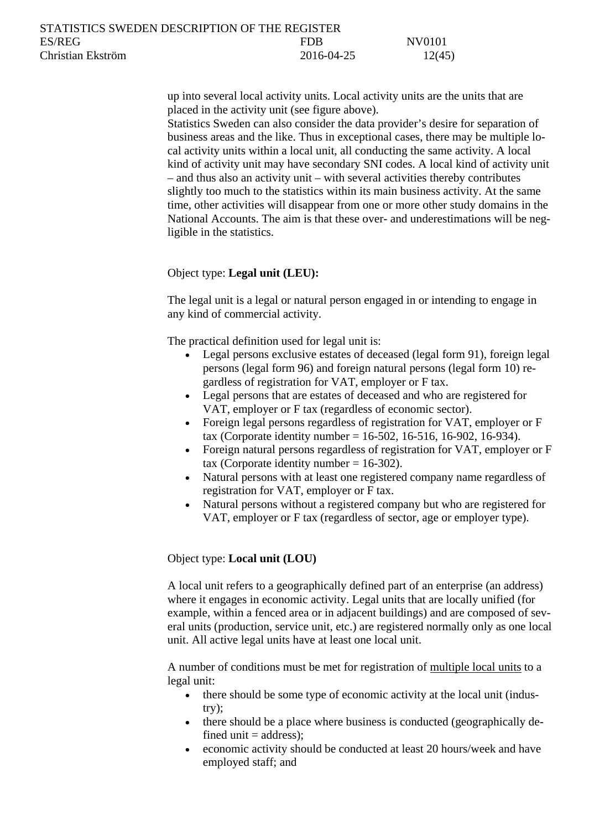up into several local activity units. Local activity units are the units that are placed in the activity unit (see figure above).

Statistics Sweden can also consider the data provider's desire for separation of business areas and the like. Thus in exceptional cases, there may be multiple local activity units within a local unit, all conducting the same activity. A local kind of activity unit may have secondary SNI codes. A local kind of activity unit – and thus also an activity unit – with several activities thereby contributes slightly too much to the statistics within its main business activity. At the same time, other activities will disappear from one or more other study domains in the National Accounts. The aim is that these over- and underestimations will be negligible in the statistics.

#### Object type: **Legal unit (LEU):**

The legal unit is a legal or natural person engaged in or intending to engage in any kind of commercial activity.

The practical definition used for legal unit is:

- Legal persons exclusive estates of deceased (legal form 91), foreign legal persons (legal form 96) and foreign natural persons (legal form 10) regardless of registration for VAT, employer or F tax.
- Legal persons that are estates of deceased and who are registered for VAT, employer or F tax (regardless of economic sector).
- Foreign legal persons regardless of registration for VAT, employer or F tax (Corporate identity number = 16-502, 16-516, 16-902, 16-934).
- Foreign natural persons regardless of registration for VAT, employer or F tax (Corporate identity number  $= 16-302$ ).
- Natural persons with at least one registered company name regardless of registration for VAT, employer or F tax.
- Natural persons without a registered company but who are registered for VAT, employer or F tax (regardless of sector, age or employer type).

### Object type: **Local unit (LOU)**

A local unit refers to a geographically defined part of an enterprise (an address) where it engages in economic activity. Legal units that are locally unified (for example, within a fenced area or in adjacent buildings) and are composed of several units (production, service unit, etc.) are registered normally only as one local unit. All active legal units have at least one local unit.

A number of conditions must be met for registration of multiple local units to a legal unit:

- there should be some type of economic activity at the local unit (industry);
- there should be a place where business is conducted (geographically defined unit  $=$  address);
- economic activity should be conducted at least 20 hours/week and have employed staff; and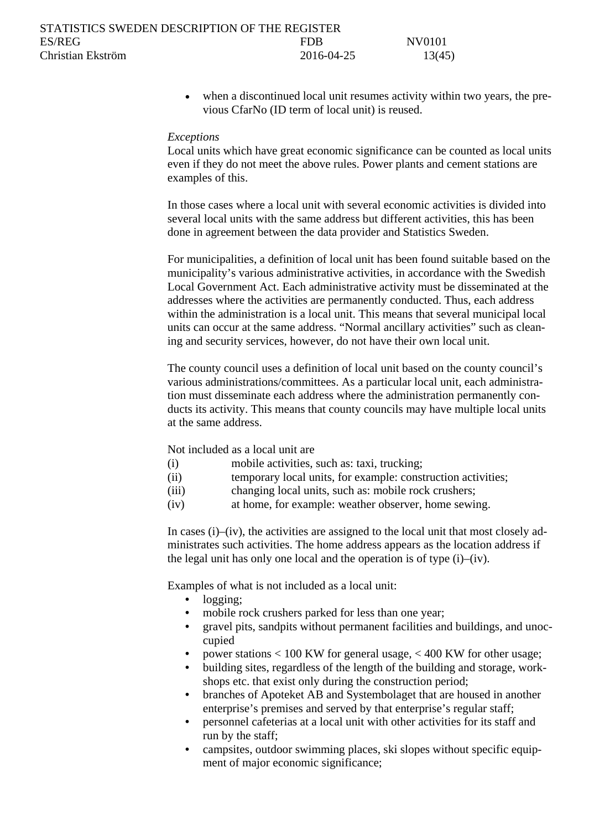| STATISTICS SWEDEN DESCRIPTION OF THE REGISTER |            |        |
|-----------------------------------------------|------------|--------|
| ES/REG                                        | <b>FDR</b> | NV0101 |
| Christian Ekström                             | 2016-04-25 | 13(45) |

• when a discontinued local unit resumes activity within two years, the previous CfarNo (ID term of local unit) is reused.

#### *Exceptions*

Local units which have great economic significance can be counted as local units even if they do not meet the above rules. Power plants and cement stations are examples of this.

In those cases where a local unit with several economic activities is divided into several local units with the same address but different activities, this has been done in agreement between the data provider and Statistics Sweden.

For municipalities, a definition of local unit has been found suitable based on the municipality's various administrative activities, in accordance with the Swedish Local Government Act. Each administrative activity must be disseminated at the addresses where the activities are permanently conducted. Thus, each address within the administration is a local unit. This means that several municipal local units can occur at the same address. "Normal ancillary activities" such as cleaning and security services, however, do not have their own local unit.

The county council uses a definition of local unit based on the county council's various administrations/committees. As a particular local unit, each administration must disseminate each address where the administration permanently conducts its activity. This means that county councils may have multiple local units at the same address.

Not included as a local unit are

- (i) mobile activities, such as: taxi, trucking;
- (ii) temporary local units, for example: construction activities;
- (iii) changing local units, such as: mobile rock crushers;
- (iv) at home, for example: weather observer, home sewing.

In cases  $(i)$ – $(iv)$ , the activities are assigned to the local unit that most closely administrates such activities. The home address appears as the location address if the legal unit has only one local and the operation is of type (i)–(iv).

Examples of what is not included as a local unit:

- logging;
- mobile rock crushers parked for less than one year;
- gravel pits, sandpits without permanent facilities and buildings, and unoccupied
- power stations < 100 KW for general usage, < 400 KW for other usage;
- building sites, regardless of the length of the building and storage, workshops etc. that exist only during the construction period;
- branches of Apoteket AB and Systembolaget that are housed in another enterprise's premises and served by that enterprise's regular staff;
- personnel cafeterias at a local unit with other activities for its staff and run by the staff;
- campsites, outdoor swimming places, ski slopes without specific equipment of major economic significance;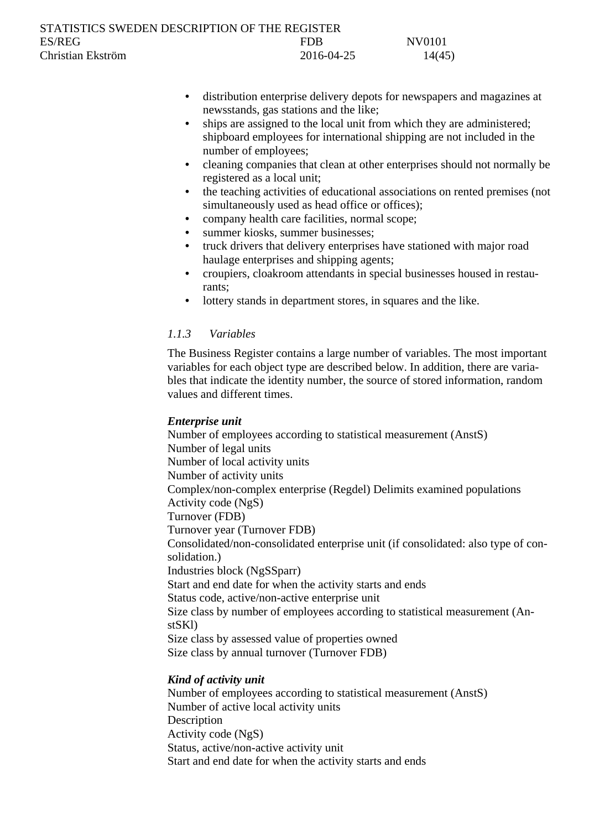| STATISTICS SWEDEN DESCRIPTION OF THE REGISTER |            |        |
|-----------------------------------------------|------------|--------|
| ES/REG                                        | FDB        | NV0101 |
| Christian Ekström                             | 2016-04-25 | 14(45) |

- distribution enterprise delivery depots for newspapers and magazines at newsstands, gas stations and the like;
- ships are assigned to the local unit from which they are administered; shipboard employees for international shipping are not included in the number of employees;
- cleaning companies that clean at other enterprises should not normally be registered as a local unit;
- the teaching activities of educational associations on rented premises (not simultaneously used as head office or offices);
- company health care facilities, normal scope;
- summer kiosks, summer businesses;
- truck drivers that delivery enterprises have stationed with major road haulage enterprises and shipping agents;
- croupiers, cloakroom attendants in special businesses housed in restaurants;
- lottery stands in department stores, in squares and the like.

## <span id="page-13-0"></span>*1.1.3 Variables*

The Business Register contains a large number of variables. The most important variables for each object type are described below. In addition, there are variables that indicate the identity number, the source of stored information, random values and different times.

### *Enterprise unit*

Number of employees according to statistical measurement (AnstS) Number of legal units Number of local activity units Number of activity units Complex/non-complex enterprise (Regdel) Delimits examined populations Activity code (NgS) Turnover (FDB) Turnover year (Turnover FDB) Consolidated/non-consolidated enterprise unit (if consolidated: also type of consolidation.) Industries block (NgSSparr) Start and end date for when the activity starts and ends Status code, active/non-active enterprise unit Size class by number of employees according to statistical measurement (AnstSKl) Size class by assessed value of properties owned Size class by annual turnover (Turnover FDB)

### *Kind of activity unit*

Number of employees according to statistical measurement (AnstS) Number of active local activity units Description Activity code (NgS) Status, active/non-active activity unit Start and end date for when the activity starts and ends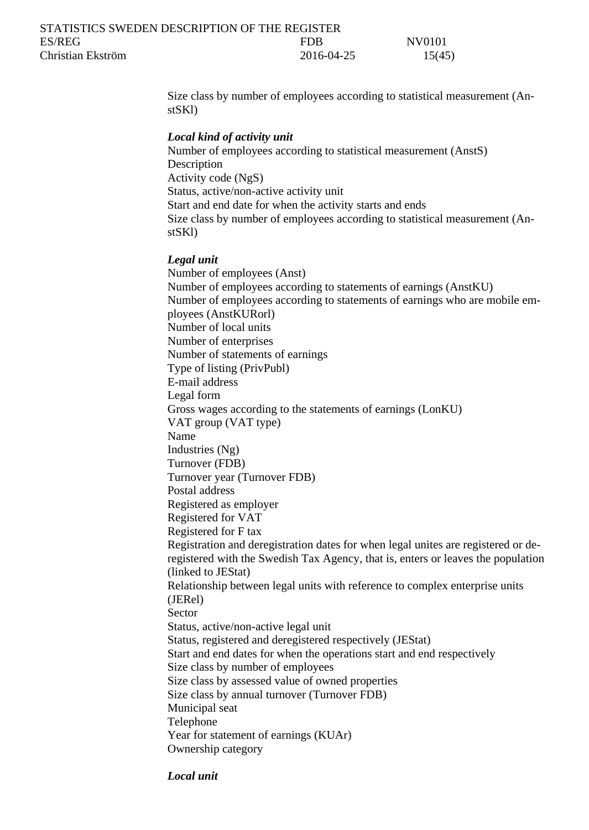| STATISTICS SWEDEN DESCRIPTION OF THE REGISTER |            |        |
|-----------------------------------------------|------------|--------|
| ES/REG                                        | FDR        | NV0101 |
| Christian Ekström                             | 2016-04-25 | 15(45) |

Size class by number of employees according to statistical measurement (AnstSKl)

#### *Local kind of activity unit*

Number of employees according to statistical measurement (AnstS) Description Activity code (NgS) Status, active/non-active activity unit Start and end date for when the activity starts and ends Size class by number of employees according to statistical measurement (AnstSKl)

#### *Legal unit*

Number of employees (Anst) Number of employees according to statements of earnings (AnstKU) Number of employees according to statements of earnings who are mobile employees (AnstKURorl) Number of local units Number of enterprises Number of statements of earnings Type of listing (PrivPubl) E-mail address Legal form Gross wages according to the statements of earnings (LonKU) VAT group (VAT type) Name Industries (Ng) Turnover (FDB) Turnover year (Turnover FDB) Postal address Registered as employer Registered for VAT Registered for F tax Registration and deregistration dates for when legal unites are registered or deregistered with the Swedish Tax Agency, that is, enters or leaves the population (linked to JEStat) Relationship between legal units with reference to complex enterprise units (JERel) Sector Status, active/non-active legal unit Status, registered and deregistered respectively (JEStat) Start and end dates for when the operations start and end respectively Size class by number of employees Size class by assessed value of owned properties Size class by annual turnover (Turnover FDB) Municipal seat Telephone Year for statement of earnings (KUAr) Ownership category

*Local unit*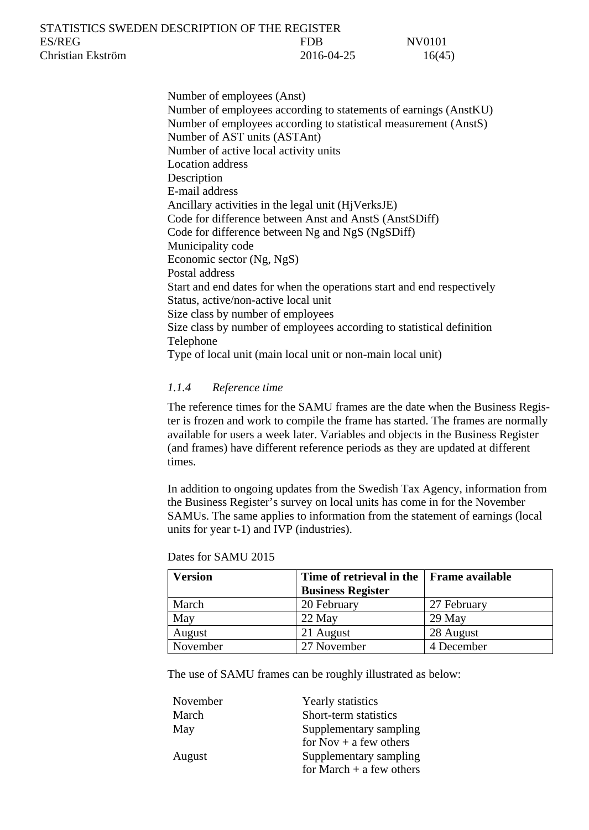| STATISTICS SWEDEN DESCRIPTION OF THE REGISTER |            |        |
|-----------------------------------------------|------------|--------|
| ES/REG                                        | FDB        | NV0101 |
| Christian Ekström                             | 2016-04-25 | 16(45) |

Number of employees (Anst) Number of employees according to statements of earnings (AnstKU) Number of employees according to statistical measurement (AnstS) Number of AST units (ASTAnt) Number of active local activity units Location address **Description** E-mail address Ancillary activities in the legal unit (HjVerksJE) Code for difference between Anst and AnstS (AnstSDiff) Code for difference between Ng and NgS (NgSDiff) Municipality code Economic sector (Ng, NgS) Postal address Start and end dates for when the operations start and end respectively Status, active/non-active local unit Size class by number of employees Size class by number of employees according to statistical definition Telephone Type of local unit (main local unit or non-main local unit)

#### <span id="page-15-0"></span>*1.1.4 Reference time*

The reference times for the SAMU frames are the date when the Business Register is frozen and work to compile the frame has started. The frames are normally available for users a week later. Variables and objects in the Business Register (and frames) have different reference periods as they are updated at different times.

In addition to ongoing updates from the Swedish Tax Agency, information from the Business Register's survey on local units has come in for the November SAMUs. The same applies to information from the statement of earnings (local units for year t-1) and IVP (industries).

| <b>Version</b> | Time of retrieval in the Frame available |             |
|----------------|------------------------------------------|-------------|
|                | <b>Business Register</b>                 |             |
| March          | 20 February                              | 27 February |
| May            | 22 May                                   | $29$ May    |
| August         | 21 August                                | 28 August   |
| November       | 27 November                              | 4 December  |

Dates for SAMU 2015

The use of SAMU frames can be roughly illustrated as below:

| November | Yearly statistics          |
|----------|----------------------------|
| March    | Short-term statistics      |
| May      | Supplementary sampling     |
|          | for $Nov + a$ few others   |
| August   | Supplementary sampling     |
|          | for March $+$ a few others |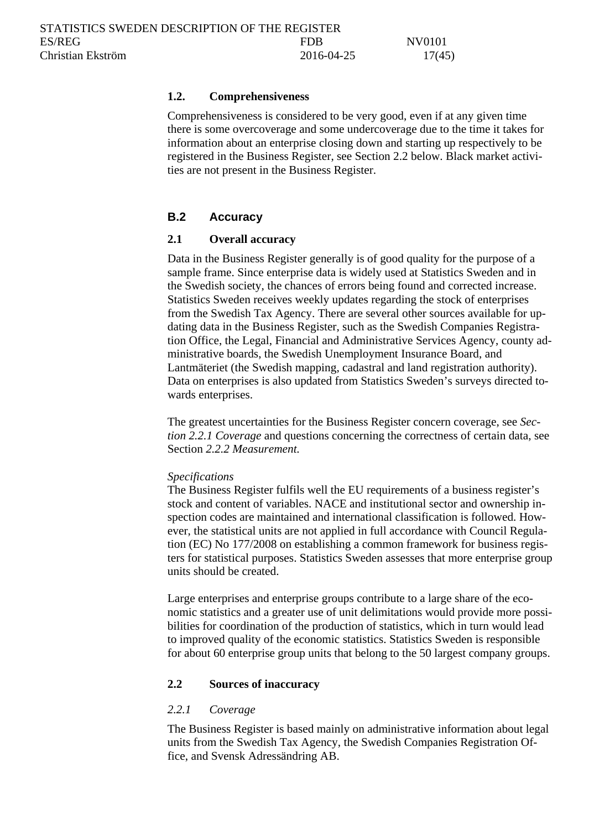#### <span id="page-16-0"></span>**1.2. Comprehensiveness**

Comprehensiveness is considered to be very good, even if at any given time there is some overcoverage and some undercoverage due to the time it takes for information about an enterprise closing down and starting up respectively to be registered in the Business Register, see Section 2.2 below. Black market activities are not present in the Business Register.

## <span id="page-16-1"></span>**B.2 Accuracy**

### <span id="page-16-2"></span>**2.1 Overall accuracy**

Data in the Business Register generally is of good quality for the purpose of a sample frame. Since enterprise data is widely used at Statistics Sweden and in the Swedish society, the chances of errors being found and corrected increase. Statistics Sweden receives weekly updates regarding the stock of enterprises from the Swedish Tax Agency. There are several other sources available for updating data in the Business Register, such as the Swedish Companies Registration Office, the Legal, Financial and Administrative Services Agency, county administrative boards, the Swedish Unemployment Insurance Board, and Lantmäteriet (the Swedish mapping, cadastral and land registration authority). Data on enterprises is also updated from Statistics Sweden's surveys directed towards enterprises.

The greatest uncertainties for the Business Register concern coverage, see *Section 2.2.1 Coverage* and questions concerning the correctness of certain data, see Section *2.2.2 Measurement.* 

#### *Specifications*

The Business Register fulfils well the EU requirements of a business register's stock and content of variables. NACE and institutional sector and ownership inspection codes are maintained and international classification is followed. However, the statistical units are not applied in full accordance with Council Regulation (EC) No 177/2008 on establishing a common framework for business registers for statistical purposes. Statistics Sweden assesses that more enterprise group units should be created.

Large enterprises and enterprise groups contribute to a large share of the economic statistics and a greater use of unit delimitations would provide more possibilities for coordination of the production of statistics, which in turn would lead to improved quality of the economic statistics. Statistics Sweden is responsible for about 60 enterprise group units that belong to the 50 largest company groups.

#### <span id="page-16-3"></span>**2.2 Sources of inaccuracy**

#### <span id="page-16-4"></span>*2.2.1 Coverage*

The Business Register is based mainly on administrative information about legal units from the Swedish Tax Agency, the Swedish Companies Registration Office, and Svensk Adressändring AB.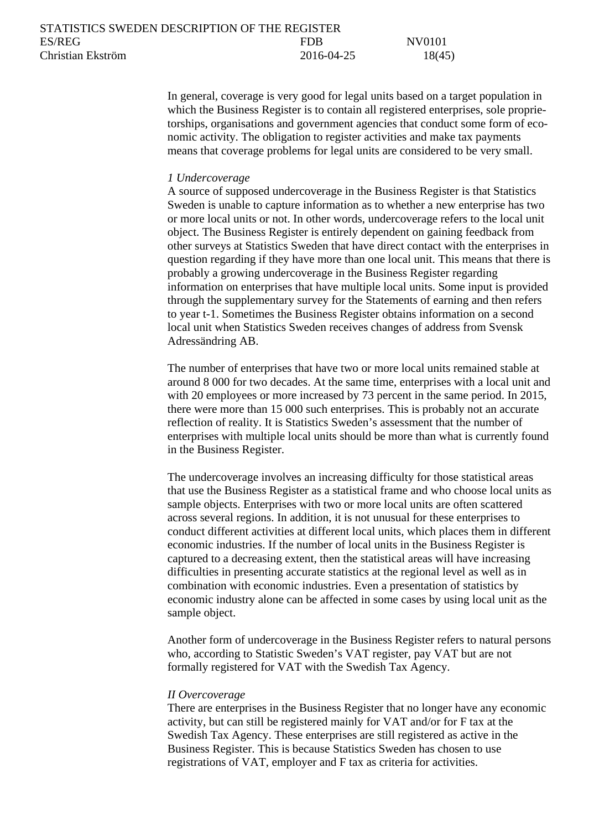| STATISTICS SWEDEN DESCRIPTION OF THE REGISTER |            |        |
|-----------------------------------------------|------------|--------|
| ES/REG                                        | <b>FDB</b> | NV0101 |
| Christian Ekström                             | 2016-04-25 | 18(45) |

In general, coverage is very good for legal units based on a target population in which the Business Register is to contain all registered enterprises, sole proprietorships, organisations and government agencies that conduct some form of economic activity. The obligation to register activities and make tax payments means that coverage problems for legal units are considered to be very small.

#### *1 Undercoverage*

A source of supposed undercoverage in the Business Register is that Statistics Sweden is unable to capture information as to whether a new enterprise has two or more local units or not. In other words, undercoverage refers to the local unit object. The Business Register is entirely dependent on gaining feedback from other surveys at Statistics Sweden that have direct contact with the enterprises in question regarding if they have more than one local unit. This means that there is probably a growing undercoverage in the Business Register regarding information on enterprises that have multiple local units. Some input is provided through the supplementary survey for the Statements of earning and then refers to year t-1. Sometimes the Business Register obtains information on a second local unit when Statistics Sweden receives changes of address from Svensk Adressändring AB.

The number of enterprises that have two or more local units remained stable at around 8 000 for two decades. At the same time, enterprises with a local unit and with 20 employees or more increased by 73 percent in the same period. In 2015, there were more than 15 000 such enterprises. This is probably not an accurate reflection of reality. It is Statistics Sweden's assessment that the number of enterprises with multiple local units should be more than what is currently found in the Business Register.

The undercoverage involves an increasing difficulty for those statistical areas that use the Business Register as a statistical frame and who choose local units as sample objects. Enterprises with two or more local units are often scattered across several regions. In addition, it is not unusual for these enterprises to conduct different activities at different local units, which places them in different economic industries. If the number of local units in the Business Register is captured to a decreasing extent, then the statistical areas will have increasing difficulties in presenting accurate statistics at the regional level as well as in combination with economic industries. Even a presentation of statistics by economic industry alone can be affected in some cases by using local unit as the sample object.

Another form of undercoverage in the Business Register refers to natural persons who, according to Statistic Sweden's VAT register, pay VAT but are not formally registered for VAT with the Swedish Tax Agency.

#### *II Overcoverage*

There are enterprises in the Business Register that no longer have any economic activity, but can still be registered mainly for VAT and/or for F tax at the Swedish Tax Agency. These enterprises are still registered as active in the Business Register. This is because Statistics Sweden has chosen to use registrations of VAT, employer and F tax as criteria for activities.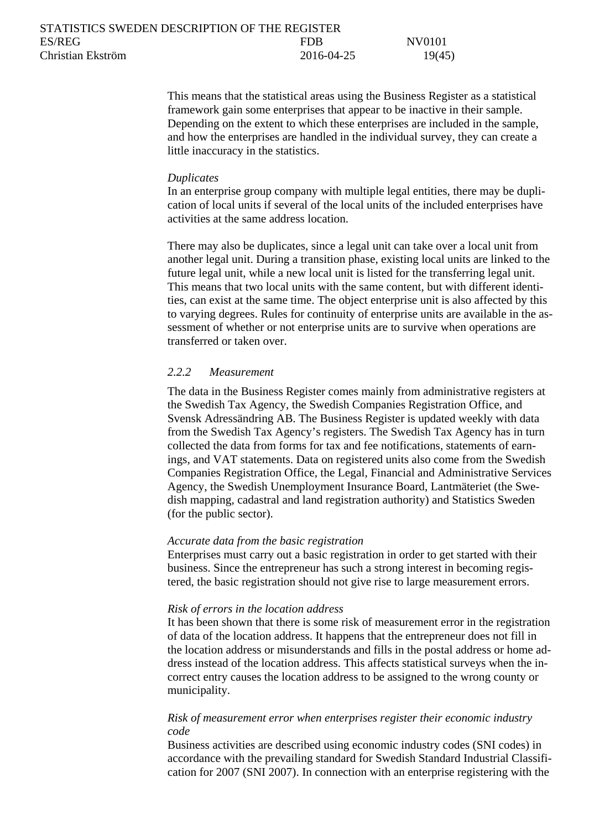| STATISTICS SWEDEN DESCRIPTION OF THE REGISTER |            |        |
|-----------------------------------------------|------------|--------|
| ES/REG                                        | <b>FDR</b> | NV0101 |
| Christian Ekström                             | 2016-04-25 | 19(45) |

This means that the statistical areas using the Business Register as a statistical framework gain some enterprises that appear to be inactive in their sample. Depending on the extent to which these enterprises are included in the sample, and how the enterprises are handled in the individual survey, they can create a little inaccuracy in the statistics.

#### *Duplicates*

In an enterprise group company with multiple legal entities, there may be duplication of local units if several of the local units of the included enterprises have activities at the same address location.

There may also be duplicates, since a legal unit can take over a local unit from another legal unit. During a transition phase, existing local units are linked to the future legal unit, while a new local unit is listed for the transferring legal unit. This means that two local units with the same content, but with different identities, can exist at the same time. The object enterprise unit is also affected by this to varying degrees. Rules for continuity of enterprise units are available in the assessment of whether or not enterprise units are to survive when operations are transferred or taken over.

#### <span id="page-18-0"></span>*2.2.2 Measurement*

The data in the Business Register comes mainly from administrative registers at the Swedish Tax Agency, the Swedish Companies Registration Office, and Svensk Adressändring AB. The Business Register is updated weekly with data from the Swedish Tax Agency's registers. The Swedish Tax Agency has in turn collected the data from forms for tax and fee notifications, statements of earnings, and VAT statements. Data on registered units also come from the Swedish Companies Registration Office, the Legal, Financial and Administrative Services Agency, the Swedish Unemployment Insurance Board, Lantmäteriet (the Swedish mapping, cadastral and land registration authority) and Statistics Sweden (for the public sector).

#### *Accurate data from the basic registration*

Enterprises must carry out a basic registration in order to get started with their business. Since the entrepreneur has such a strong interest in becoming registered, the basic registration should not give rise to large measurement errors.

#### *Risk of errors in the location address*

It has been shown that there is some risk of measurement error in the registration of data of the location address. It happens that the entrepreneur does not fill in the location address or misunderstands and fills in the postal address or home address instead of the location address. This affects statistical surveys when the incorrect entry causes the location address to be assigned to the wrong county or municipality.

## *Risk of measurement error when enterprises register their economic industry code*

Business activities are described using economic industry codes (SNI codes) in accordance with the prevailing standard for Swedish Standard Industrial Classification for 2007 (SNI 2007). In connection with an enterprise registering with the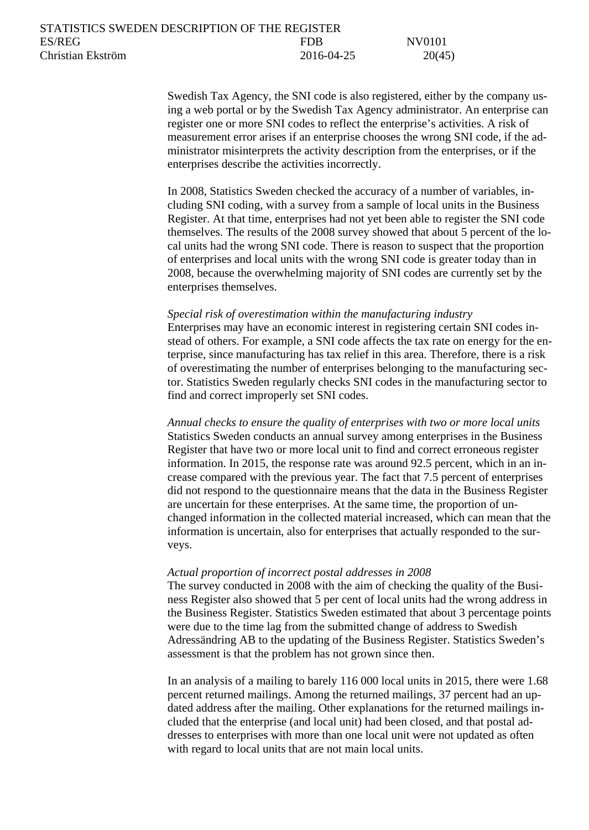Swedish Tax Agency, the SNI code is also registered, either by the company using a web portal or by the Swedish Tax Agency administrator. An enterprise can register one or more SNI codes to reflect the enterprise's activities. A risk of measurement error arises if an enterprise chooses the wrong SNI code, if the administrator misinterprets the activity description from the enterprises, or if the enterprises describe the activities incorrectly.

In 2008, Statistics Sweden checked the accuracy of a number of variables, including SNI coding, with a survey from a sample of local units in the Business Register. At that time, enterprises had not yet been able to register the SNI code themselves. The results of the 2008 survey showed that about 5 percent of the local units had the wrong SNI code. There is reason to suspect that the proportion of enterprises and local units with the wrong SNI code is greater today than in 2008, because the overwhelming majority of SNI codes are currently set by the enterprises themselves.

#### *Special risk of overestimation within the manufacturing industry*

Enterprises may have an economic interest in registering certain SNI codes instead of others. For example, a SNI code affects the tax rate on energy for the enterprise, since manufacturing has tax relief in this area. Therefore, there is a risk of overestimating the number of enterprises belonging to the manufacturing sector. Statistics Sweden regularly checks SNI codes in the manufacturing sector to find and correct improperly set SNI codes.

*Annual checks to ensure the quality of enterprises with two or more local units* Statistics Sweden conducts an annual survey among enterprises in the Business Register that have two or more local unit to find and correct erroneous register information. In 2015, the response rate was around 92.5 percent, which in an increase compared with the previous year. The fact that 7.5 percent of enterprises did not respond to the questionnaire means that the data in the Business Register are uncertain for these enterprises. At the same time, the proportion of unchanged information in the collected material increased, which can mean that the information is uncertain, also for enterprises that actually responded to the surveys.

#### *Actual proportion of incorrect postal addresses in 2008*

The survey conducted in 2008 with the aim of checking the quality of the Business Register also showed that 5 per cent of local units had the wrong address in the Business Register. Statistics Sweden estimated that about 3 percentage points were due to the time lag from the submitted change of address to Swedish Adressändring AB to the updating of the Business Register. Statistics Sweden's assessment is that the problem has not grown since then.

In an analysis of a mailing to barely 116 000 local units in 2015, there were 1.68 percent returned mailings. Among the returned mailings, 37 percent had an updated address after the mailing. Other explanations for the returned mailings included that the enterprise (and local unit) had been closed, and that postal addresses to enterprises with more than one local unit were not updated as often with regard to local units that are not main local units.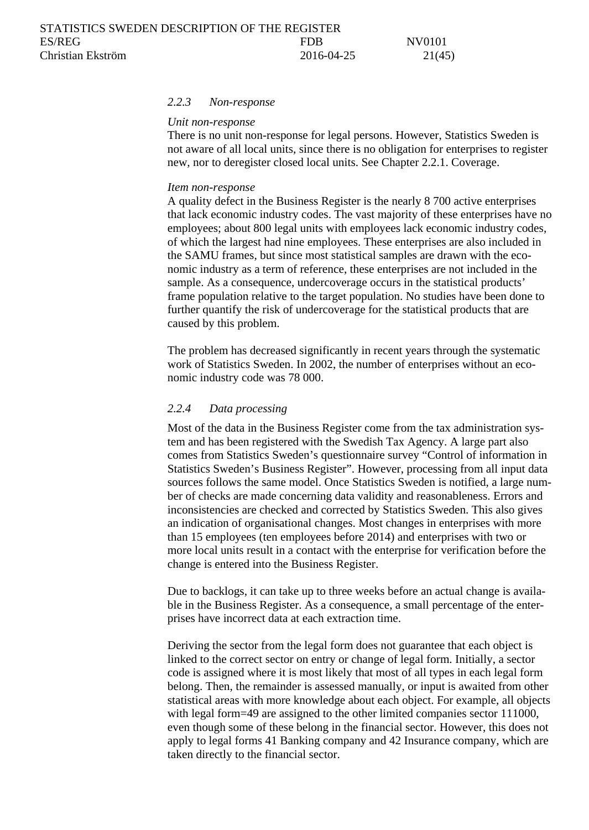#### <span id="page-20-0"></span>*2.2.3 Non-response*

#### *Unit non-response*

There is no unit non-response for legal persons. However, Statistics Sweden is not aware of all local units, since there is no obligation for enterprises to register new, nor to deregister closed local units. See Chapter 2.2.1. Coverage.

#### *Item non-response*

A quality defect in the Business Register is the nearly 8 700 active enterprises that lack economic industry codes. The vast majority of these enterprises have no employees; about 800 legal units with employees lack economic industry codes, of which the largest had nine employees. These enterprises are also included in the SAMU frames, but since most statistical samples are drawn with the economic industry as a term of reference, these enterprises are not included in the sample. As a consequence, undercoverage occurs in the statistical products' frame population relative to the target population. No studies have been done to further quantify the risk of undercoverage for the statistical products that are caused by this problem.

The problem has decreased significantly in recent years through the systematic work of Statistics Sweden. In 2002, the number of enterprises without an economic industry code was 78 000.

#### <span id="page-20-1"></span>*2.2.4 Data processing*

Most of the data in the Business Register come from the tax administration system and has been registered with the Swedish Tax Agency. A large part also comes from Statistics Sweden's questionnaire survey "Control of information in Statistics Sweden's Business Register". However, processing from all input data sources follows the same model. Once Statistics Sweden is notified, a large number of checks are made concerning data validity and reasonableness. Errors and inconsistencies are checked and corrected by Statistics Sweden. This also gives an indication of organisational changes. Most changes in enterprises with more than 15 employees (ten employees before 2014) and enterprises with two or more local units result in a contact with the enterprise for verification before the change is entered into the Business Register.

Due to backlogs, it can take up to three weeks before an actual change is available in the Business Register. As a consequence, a small percentage of the enterprises have incorrect data at each extraction time.

Deriving the sector from the legal form does not guarantee that each object is linked to the correct sector on entry or change of legal form. Initially, a sector code is assigned where it is most likely that most of all types in each legal form belong. Then, the remainder is assessed manually, or input is awaited from other statistical areas with more knowledge about each object. For example, all objects with legal form=49 are assigned to the other limited companies sector 111000, even though some of these belong in the financial sector. However, this does not apply to legal forms 41 Banking company and 42 Insurance company, which are taken directly to the financial sector.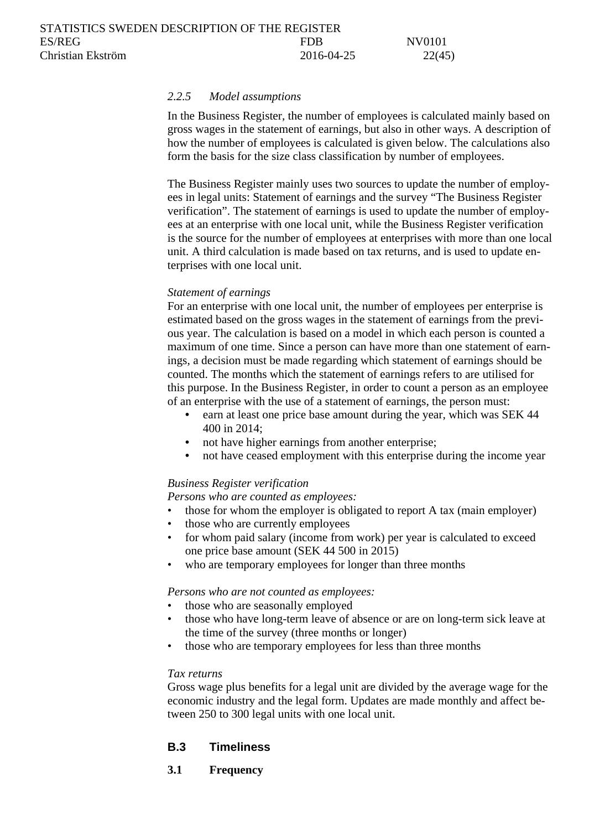#### <span id="page-21-0"></span>*2.2.5 Model assumptions*

In the Business Register, the number of employees is calculated mainly based on gross wages in the statement of earnings, but also in other ways. A description of how the number of employees is calculated is given below. The calculations also form the basis for the size class classification by number of employees.

The Business Register mainly uses two sources to update the number of employees in legal units: Statement of earnings and the survey "The Business Register verification". The statement of earnings is used to update the number of employees at an enterprise with one local unit, while the Business Register verification is the source for the number of employees at enterprises with more than one local unit. A third calculation is made based on tax returns, and is used to update enterprises with one local unit.

#### *Statement of earnings*

For an enterprise with one local unit, the number of employees per enterprise is estimated based on the gross wages in the statement of earnings from the previous year. The calculation is based on a model in which each person is counted a maximum of one time. Since a person can have more than one statement of earnings, a decision must be made regarding which statement of earnings should be counted. The months which the statement of earnings refers to are utilised for this purpose. In the Business Register, in order to count a person as an employee of an enterprise with the use of a statement of earnings, the person must:

- earn at least one price base amount during the year, which was SEK 44 400 in 2014;
- not have higher earnings from another enterprise;
- not have ceased employment with this enterprise during the income year

### *Business Register verification*

*Persons who are counted as employees:*

- those for whom the employer is obligated to report A tax (main employer)
- those who are currently employees
- for whom paid salary (income from work) per year is calculated to exceed one price base amount (SEK 44 500 in 2015)
- who are temporary employees for longer than three months

#### *Persons who are not counted as employees:*

- those who are seasonally employed
- those who have long-term leave of absence or are on long-term sick leave at the time of the survey (three months or longer)
- those who are temporary employees for less than three months

#### *Tax returns*

Gross wage plus benefits for a legal unit are divided by the average wage for the economic industry and the legal form. Updates are made monthly and affect between 250 to 300 legal units with one local unit.

### <span id="page-21-1"></span>**B.3 Timeliness**

### <span id="page-21-2"></span>**3.1 Frequency**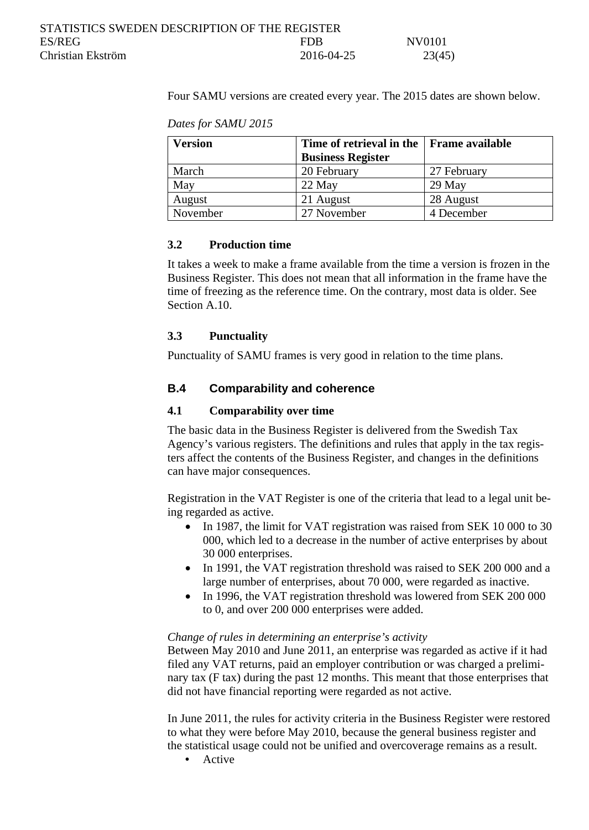Four SAMU versions are created every year. The 2015 dates are shown below.

*Dates for SAMU 2015*

| <b>Version</b> | Time of retrieval in the Frame available |             |
|----------------|------------------------------------------|-------------|
|                | <b>Business Register</b>                 |             |
| March          | 20 February                              | 27 February |
| May            | 22 May                                   | $29$ May    |
| August         | 21 August                                | 28 August   |
| November       | 27 November                              | 4 December  |

## <span id="page-22-0"></span>**3.2 Production time**

It takes a week to make a frame available from the time a version is frozen in the Business Register. This does not mean that all information in the frame have the time of freezing as the reference time. On the contrary, most data is older. See Section A.10.

## <span id="page-22-1"></span>**3.3 Punctuality**

Punctuality of SAMU frames is very good in relation to the time plans.

## <span id="page-22-2"></span>**B.4 Comparability and coherence**

## <span id="page-22-3"></span>**4.1 Comparability over time**

The basic data in the Business Register is delivered from the Swedish Tax Agency's various registers. The definitions and rules that apply in the tax registers affect the contents of the Business Register, and changes in the definitions can have major consequences.

Registration in the VAT Register is one of the criteria that lead to a legal unit being regarded as active.

- In 1987, the limit for VAT registration was raised from SEK 10 000 to 30 000, which led to a decrease in the number of active enterprises by about 30 000 enterprises.
- In 1991, the VAT registration threshold was raised to SEK 200 000 and a large number of enterprises, about 70 000, were regarded as inactive.
- In 1996, the VAT registration threshold was lowered from SEK 200 000 to 0, and over 200 000 enterprises were added.

### *Change of rules in determining an enterprise's activity*

Between May 2010 and June 2011, an enterprise was regarded as active if it had filed any VAT returns, paid an employer contribution or was charged a preliminary tax (F tax) during the past 12 months. This meant that those enterprises that did not have financial reporting were regarded as not active.

In June 2011, the rules for activity criteria in the Business Register were restored to what they were before May 2010, because the general business register and the statistical usage could not be unified and overcoverage remains as a result.

• Active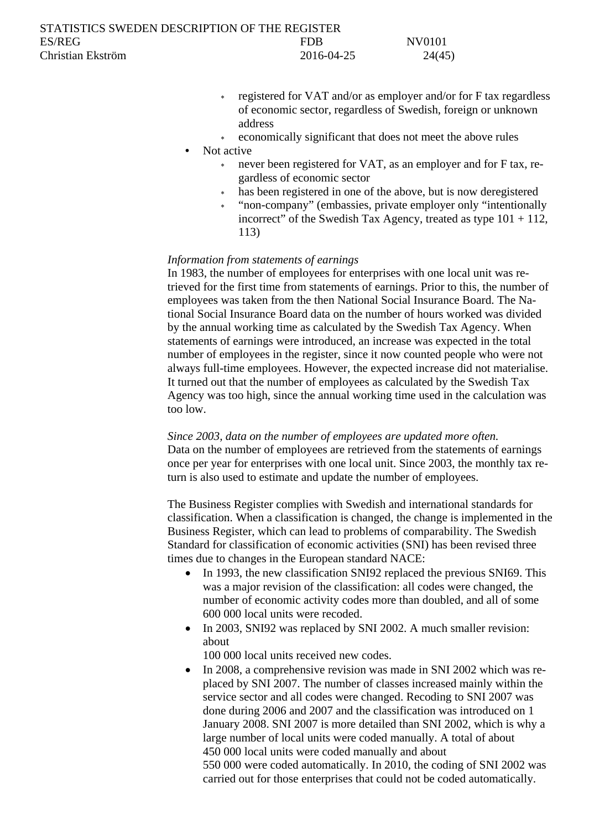- registered for VAT and/or as employer and/or for F tax regardless of economic sector, regardless of Swedish, foreign or unknown address
- economically significant that does not meet the above rules

- never been registered for VAT, as an employer and for F tax, regardless of economic sector
- has been registered in one of the above, but is now deregistered
- <sup>∗</sup> "non-company" (embassies, private employer only "intentionally incorrect" of the Swedish Tax Agency, treated as type  $101 + 112$ , 113)

#### *Information from statements of earnings*

In 1983, the number of employees for enterprises with one local unit was retrieved for the first time from statements of earnings. Prior to this, the number of employees was taken from the then National Social Insurance Board. The National Social Insurance Board data on the number of hours worked was divided by the annual working time as calculated by the Swedish Tax Agency. When statements of earnings were introduced, an increase was expected in the total number of employees in the register, since it now counted people who were not always full-time employees. However, the expected increase did not materialise. It turned out that the number of employees as calculated by the Swedish Tax Agency was too high, since the annual working time used in the calculation was too low.

*Since 2003, data on the number of employees are updated more often.* Data on the number of employees are retrieved from the statements of earnings once per year for enterprises with one local unit. Since 2003, the monthly tax return is also used to estimate and update the number of employees.

The Business Register complies with Swedish and international standards for classification. When a classification is changed, the change is implemented in the Business Register, which can lead to problems of comparability. The Swedish Standard for classification of economic activities (SNI) has been revised three times due to changes in the European standard NACE:

- In 1993, the new classification SNI92 replaced the previous SNI69. This was a major revision of the classification: all codes were changed, the number of economic activity codes more than doubled, and all of some 600 000 local units were recoded.
- In 2003, SNI92 was replaced by SNI 2002. A much smaller revision: about

100 000 local units received new codes.

• In 2008, a comprehensive revision was made in SNI 2002 which was replaced by SNI 2007. The number of classes increased mainly within the service sector and all codes were changed. Recoding to SNI 2007 was done during 2006 and 2007 and the classification was introduced on 1 January 2008. SNI 2007 is more detailed than SNI 2002, which is why a large number of local units were coded manually. A total of about 450 000 local units were coded manually and about 550 000 were coded automatically. In 2010, the coding of SNI 2002 was carried out for those enterprises that could not be coded automatically.

<sup>•</sup> Not active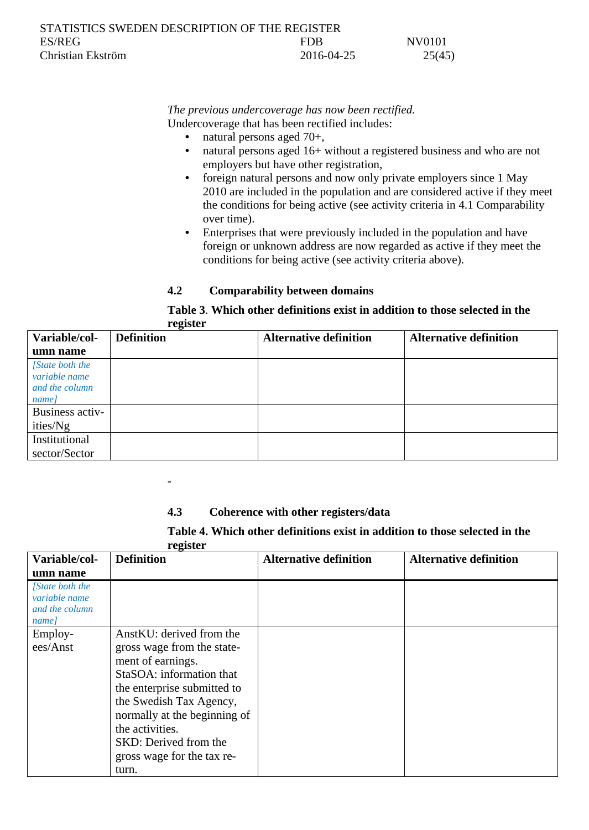| STATISTICS SWEDEN DESCRIPTION OF THE REGISTER |            |        |
|-----------------------------------------------|------------|--------|
| ES/REG                                        | <b>FDR</b> | NV0101 |
| Christian Ekström                             | 2016-04-25 | 25(45) |

## *The previous undercoverage has now been rectified.* Undercoverage that has been rectified includes:

- natural persons aged 70+,<br>• natural persons aged  $16+1$
- natural persons aged 16+ without a registered business and who are not employers but have other registration,
- foreign natural persons and now only private employers since 1 May 2010 are included in the population and are considered active if they meet the conditions for being active (see activity criteria in 4.1 Comparability over time).
- Enterprises that were previously included in the population and have foreign or unknown address are now regarded as active if they meet the conditions for being active (see activity criteria above).

## <span id="page-24-0"></span>**4.2 Comparability between domains**

#### **Table 3**. **Which other definitions exist in addition to those selected in the register**

| Variable/col-                                               | $\overline{\phantom{a}}$<br><b>Definition</b> | <b>Alternative definition</b> | <b>Alternative definition</b> |
|-------------------------------------------------------------|-----------------------------------------------|-------------------------------|-------------------------------|
| umn name                                                    |                                               |                               |                               |
| [State both the<br>variable name<br>and the column<br>name] |                                               |                               |                               |
| Business activ-                                             |                                               |                               |                               |
| ities/Ng                                                    |                                               |                               |                               |
| Institutional                                               |                                               |                               |                               |
| sector/Sector                                               |                                               |                               |                               |

## <span id="page-24-1"></span>**4.3 Coherence with other registers/data**

-

**Table 4. Which other definitions exist in addition to those selected in the register**

| Variable/col-                                              | o<br><b>Definition</b>                          | <b>Alternative definition</b> | <b>Alternative definition</b> |
|------------------------------------------------------------|-------------------------------------------------|-------------------------------|-------------------------------|
| umn name                                                   |                                                 |                               |                               |
| [State both the<br>variable name<br>and the column<br>name |                                                 |                               |                               |
| Employ-                                                    | AnstKU: derived from the                        |                               |                               |
| ees/Anst                                                   | gross wage from the state-<br>ment of earnings. |                               |                               |
|                                                            | StaSOA: information that                        |                               |                               |
|                                                            | the enterprise submitted to                     |                               |                               |
|                                                            | the Swedish Tax Agency,                         |                               |                               |
|                                                            | normally at the beginning of                    |                               |                               |
|                                                            | the activities.                                 |                               |                               |
|                                                            | SKD: Derived from the                           |                               |                               |
|                                                            | gross wage for the tax re-                      |                               |                               |
|                                                            | turn.                                           |                               |                               |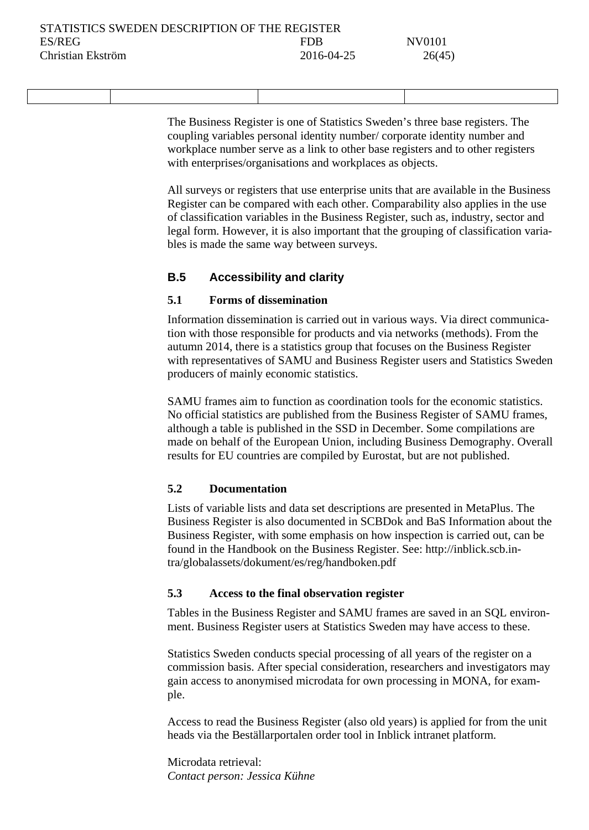The Business Register is one of Statistics Sweden's three base registers. The coupling variables personal identity number/ corporate identity number and workplace number serve as a link to other base registers and to other registers with enterprises/organisations and workplaces as objects.

All surveys or registers that use enterprise units that are available in the Business Register can be compared with each other. Comparability also applies in the use of classification variables in the Business Register, such as, industry, sector and legal form. However, it is also important that the grouping of classification variables is made the same way between surveys.

## <span id="page-25-0"></span>**B.5 Accessibility and clarity**

## <span id="page-25-1"></span>**5.1 Forms of dissemination**

Information dissemination is carried out in various ways. Via direct communication with those responsible for products and via networks (methods). From the autumn 2014, there is a statistics group that focuses on the Business Register with representatives of SAMU and Business Register users and Statistics Sweden producers of mainly economic statistics.

SAMU frames aim to function as coordination tools for the economic statistics. No official statistics are published from the Business Register of SAMU frames, although a table is published in the SSD in December. Some compilations are made on behalf of the European Union, including Business Demography. Overall results for EU countries are compiled by Eurostat, but are not published.

## <span id="page-25-2"></span>**5.2 Documentation**

Lists of variable lists and data set descriptions are presented in MetaPlus. The Business Register is also documented in SCBDok and BaS Information about the Business Register, with some emphasis on how inspection is carried out, can be found in the Handbook on the Business Register. See: http://inblick.scb.intra/globalassets/dokument/es/reg/handboken.pdf

### <span id="page-25-3"></span>**5.3 Access to the final observation register**

Tables in the Business Register and SAMU frames are saved in an SQL environment. Business Register users at Statistics Sweden may have access to these.

Statistics Sweden conducts special processing of all years of the register on a commission basis. After special consideration, researchers and investigators may gain access to anonymised microdata for own processing in MONA, for example.

Access to read the Business Register (also old years) is applied for from the unit heads via the Beställarportalen order tool in Inblick intranet platform.

Microdata retrieval: *Contact person: Jessica Kühne*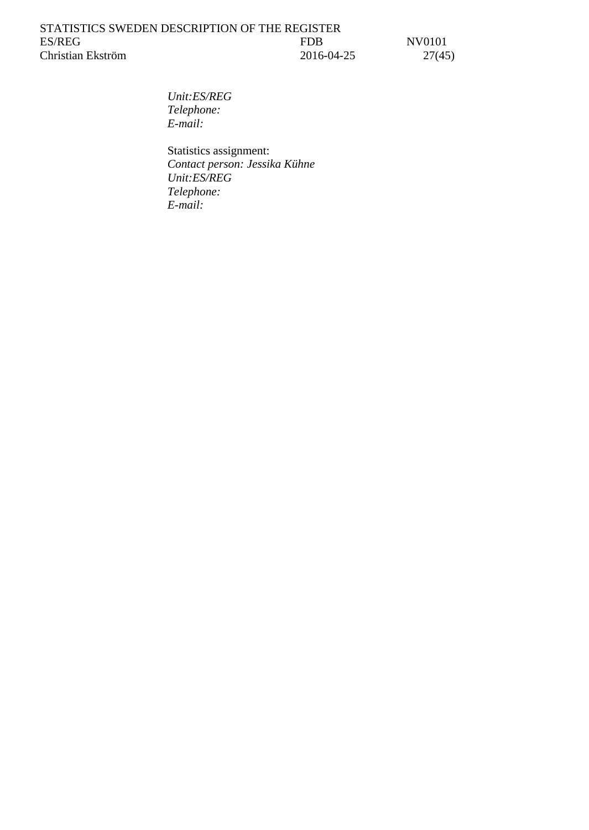*Unit:ES/REG Telephone: E-mail:*

Statistics assignment: *Contact person: Jessika Kühne Unit:ES/REG Telephone: E-mail:*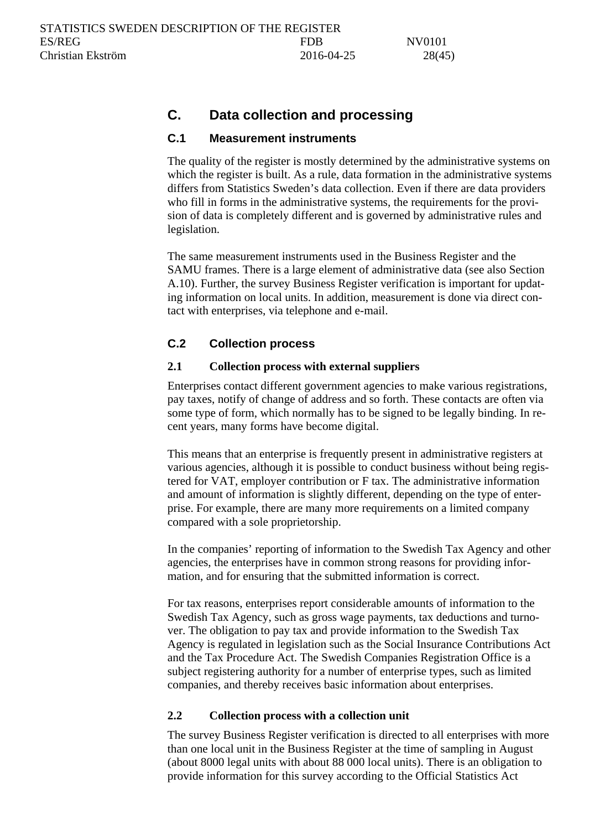# <span id="page-27-0"></span>**C. Data collection and processing**

## <span id="page-27-1"></span>**C.1 Measurement instruments**

The quality of the register is mostly determined by the administrative systems on which the register is built. As a rule, data formation in the administrative systems differs from Statistics Sweden's data collection. Even if there are data providers who fill in forms in the administrative systems, the requirements for the provision of data is completely different and is governed by administrative rules and legislation.

The same measurement instruments used in the Business Register and the SAMU frames. There is a large element of administrative data (see also Section A.10). Further, the survey Business Register verification is important for updating information on local units. In addition, measurement is done via direct contact with enterprises, via telephone and e-mail.

## <span id="page-27-2"></span>**C.2 Collection process**

## <span id="page-27-3"></span>**2.1 Collection process with external suppliers**

Enterprises contact different government agencies to make various registrations, pay taxes, notify of change of address and so forth. These contacts are often via some type of form, which normally has to be signed to be legally binding. In recent years, many forms have become digital.

This means that an enterprise is frequently present in administrative registers at various agencies, although it is possible to conduct business without being registered for VAT, employer contribution or F tax. The administrative information and amount of information is slightly different, depending on the type of enterprise. For example, there are many more requirements on a limited company compared with a sole proprietorship.

In the companies' reporting of information to the Swedish Tax Agency and other agencies, the enterprises have in common strong reasons for providing information, and for ensuring that the submitted information is correct.

For tax reasons, enterprises report considerable amounts of information to the Swedish Tax Agency, such as gross wage payments, tax deductions and turnover. The obligation to pay tax and provide information to the Swedish Tax Agency is regulated in legislation such as the Social Insurance Contributions Act and the Tax Procedure Act. The Swedish Companies Registration Office is a subject registering authority for a number of enterprise types, such as limited companies, and thereby receives basic information about enterprises.

## <span id="page-27-4"></span>**2.2 Collection process with a collection unit**

The survey Business Register verification is directed to all enterprises with more than one local unit in the Business Register at the time of sampling in August (about 8000 legal units with about 88 000 local units). There is an obligation to provide information for this survey according to the Official Statistics Act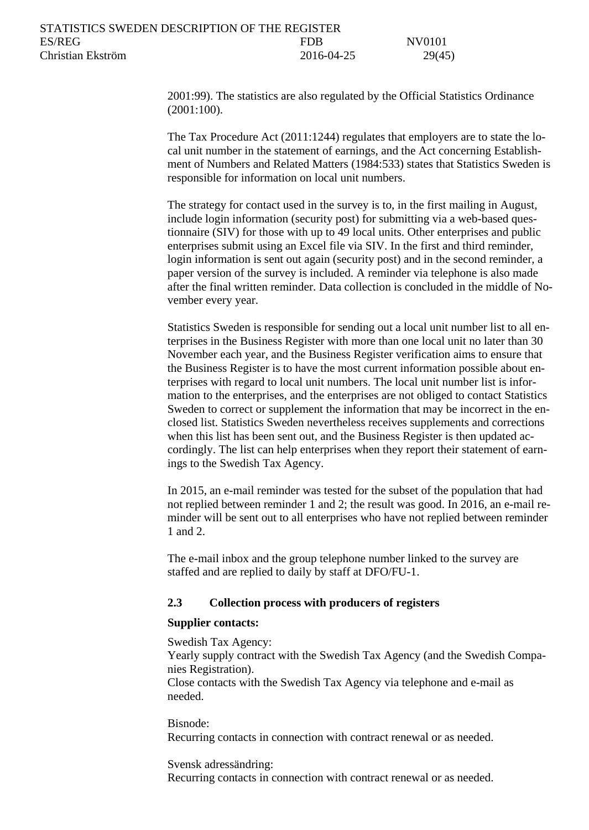[2001:99\).](http://www.riksdagen.se/sv/Dokument-Lagar/Lagar/Svenskforfattningssamling/Lag-200199-om-den-officiell_sfs-2001-99/?bet=2001:99) The statistics are also regulated by the Official Statistics Ordinance (2001:100).

The Tax Procedure Act (2011:1244) regulates that employers are to state the local unit number in the statement of earnings, and the Act concerning Establishment of Numbers and Related Matters (1984:533) states that Statistics Sweden is responsible for information on local unit numbers.

The strategy for contact used in the survey is to, in the first mailing in August, include login information (security post) for submitting via a web-based questionnaire (SIV) for those with up to 49 local units. Other enterprises and public enterprises submit using an Excel file via SIV. In the first and third reminder, login information is sent out again (security post) and in the second reminder, a paper version of the survey is included. A reminder via telephone is also made after the final written reminder. Data collection is concluded in the middle of November every year.

Statistics Sweden is responsible for sending out a local unit number list to all enterprises in the Business Register with more than one local unit no later than 30 November each year, and the Business Register verification aims to ensure that the Business Register is to have the most current information possible about enterprises with regard to local unit numbers. The local unit number list is information to the enterprises, and the enterprises are not obliged to contact Statistics Sweden to correct or supplement the information that may be incorrect in the enclosed list. Statistics Sweden nevertheless receives supplements and corrections when this list has been sent out, and the Business Register is then updated accordingly. The list can help enterprises when they report their statement of earnings to the Swedish Tax Agency.

In 2015, an e-mail reminder was tested for the subset of the population that had not replied between reminder 1 and 2; the result was good. In 2016, an e-mail reminder will be sent out to all enterprises who have not replied between reminder 1 and 2.

The e-mail inbox and the group telephone number linked to the survey are staffed and are replied to daily by staff at DFO/FU-1.

### <span id="page-28-0"></span>**2.3 Collection process with producers of registers**

#### <span id="page-28-1"></span>**Supplier contacts:**

#### Swedish Tax Agency:

Yearly supply contract with the Swedish Tax Agency (and the Swedish Companies Registration).

Close contacts with the Swedish Tax Agency via telephone and e-mail as needed.

#### Bisnode:

Recurring contacts in connection with contract renewal or as needed.

Svensk adressändring:

Recurring contacts in connection with contract renewal or as needed.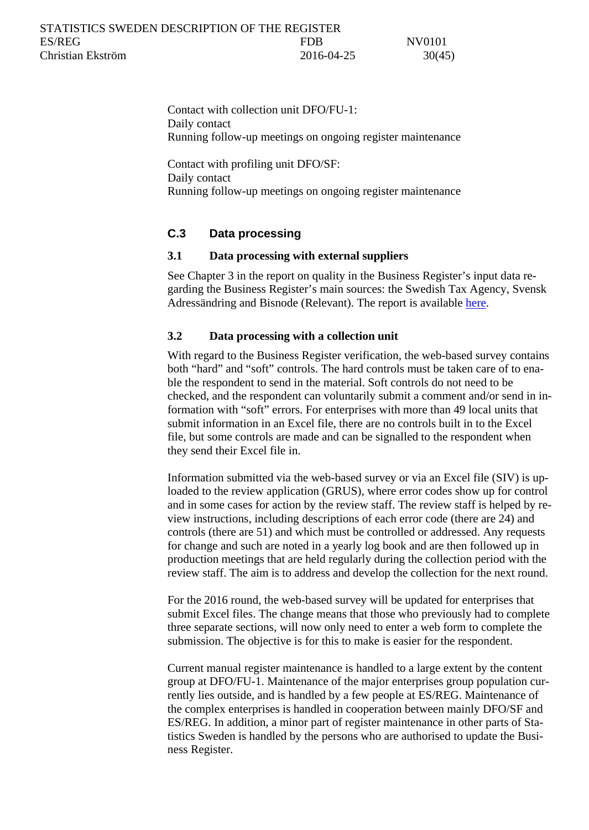Contact with collection unit DFO/FU-1: Daily contact Running follow-up meetings on ongoing register maintenance

Contact with profiling unit DFO/SF: Daily contact Running follow-up meetings on ongoing register maintenance

## <span id="page-29-0"></span>**C.3 Data processing**

## <span id="page-29-1"></span>**3.1 Data processing with external suppliers**

See Chapter 3 in the report on quality in the Business Register's input data regarding the Business Register's main sources: the Swedish Tax Agency, Svensk Adressändring and Bisnode (Relevant). The report is available [here.](file://scb.intra/data/Dok/ViP/2012%20ESREG%20Genomg%C3%A5ng%20av%20FDBs%20indata/PMOD/Avslut/SlutDelrapport/Leverans%2020120928/L1/Kvalitet%20i%20F%C3%B6retagsregistrets%20indata_v%200.5_slutversion.docx)

## <span id="page-29-2"></span>**3.2 Data processing with a collection unit**

With regard to the Business Register verification, the web-based survey contains both "hard" and "soft" controls. The hard controls must be taken care of to enable the respondent to send in the material. Soft controls do not need to be checked, and the respondent can voluntarily submit a comment and/or send in information with "soft" errors. For enterprises with more than 49 local units that submit information in an Excel file, there are no controls built in to the Excel file, but some controls are made and can be signalled to the respondent when they send their Excel file in.

Information submitted via the web-based survey or via an Excel file (SIV) is uploaded to the review application (GRUS), where error codes show up for control and in some cases for action by the review staff. The review staff is helped by review instructions, including descriptions of each error code (there are 24) and controls (there are 51) and which must be controlled or addressed. Any requests for change and such are noted in a yearly log book and are then followed up in production meetings that are held regularly during the collection period with the review staff. The aim is to address and develop the collection for the next round.

For the 2016 round, the web-based survey will be updated for enterprises that submit Excel files. The change means that those who previously had to complete three separate sections, will now only need to enter a web form to complete the submission. The objective is for this to make is easier for the respondent.

Current manual register maintenance is handled to a large extent by the content group at DFO/FU-1. Maintenance of the major enterprises group population currently lies outside, and is handled by a few people at ES/REG. Maintenance of the complex enterprises is handled in cooperation between mainly DFO/SF and ES/REG. In addition, a minor part of register maintenance in other parts of Statistics Sweden is handled by the persons who are authorised to update the Business Register.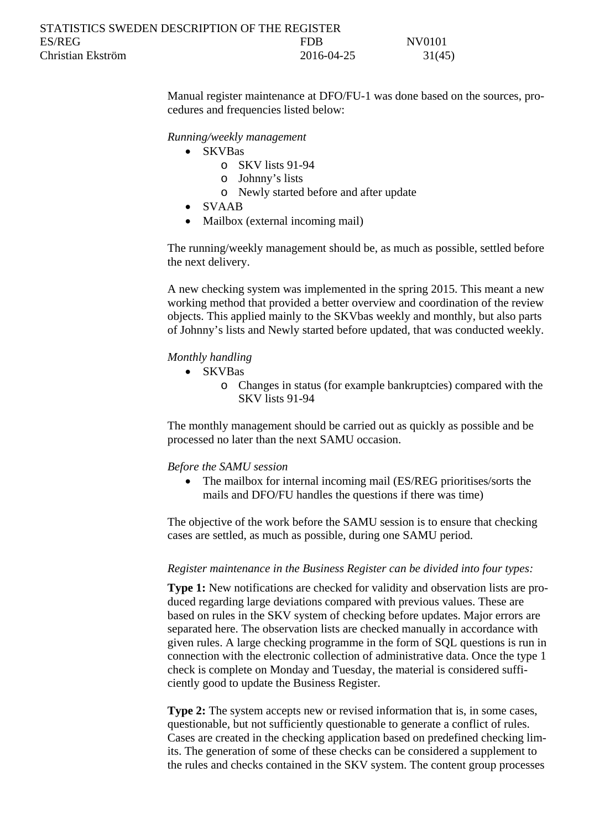| STATISTICS SWEDEN DESCRIPTION OF THE REGISTER |            |        |
|-----------------------------------------------|------------|--------|
| ES/REG                                        | FDB        | NV0101 |
| Christian Ekström                             | 2016-04-25 | 31(45) |

Manual register maintenance at DFO/FU-1 was done based on the sources, procedures and frequencies listed below:

*Running/weekly management*

- SKVBas
	- o SKV lists 91-94
	- o Johnny's lists
	- o Newly started before and after update
- SVAAB
- Mailbox (external incoming mail)

The running/weekly management should be, as much as possible, settled before the next delivery.

A new checking system was implemented in the spring 2015. This meant a new working method that provided a better overview and coordination of the review objects. This applied mainly to the SKVbas weekly and monthly, but also parts of Johnny's lists and Newly started before updated, that was conducted weekly.

#### *Monthly handling*

- SKVBas
	- o Changes in status (for example bankruptcies) compared with the SKV lists 91-94

The monthly management should be carried out as quickly as possible and be processed no later than the next SAMU occasion.

#### *Before the SAMU session*

• The mailbox for internal incoming mail (ES/REG prioritises/sorts the mails and DFO/FU handles the questions if there was time)

The objective of the work before the SAMU session is to ensure that checking cases are settled, as much as possible, during one SAMU period.

#### <span id="page-30-0"></span>*Register maintenance in the Business Register can be divided into four types:*

**Type 1:** New notifications are checked for validity and observation lists are produced regarding large deviations compared with previous values. These are based on rules in the SKV system of checking before updates. Major errors are separated here. The observation lists are checked manually in accordance with given rules. A large checking programme in the form of SQL questions is run in connection with the electronic collection of administrative data. Once the type 1 check is complete on Monday and Tuesday, the material is considered sufficiently good to update the Business Register.

**Type 2:** The system accepts new or revised information that is, in some cases, questionable, but not sufficiently questionable to generate a conflict of rules. Cases are created in the checking application based on predefined checking limits. The generation of some of these checks can be considered a supplement to the rules and checks contained in the SKV system. The content group processes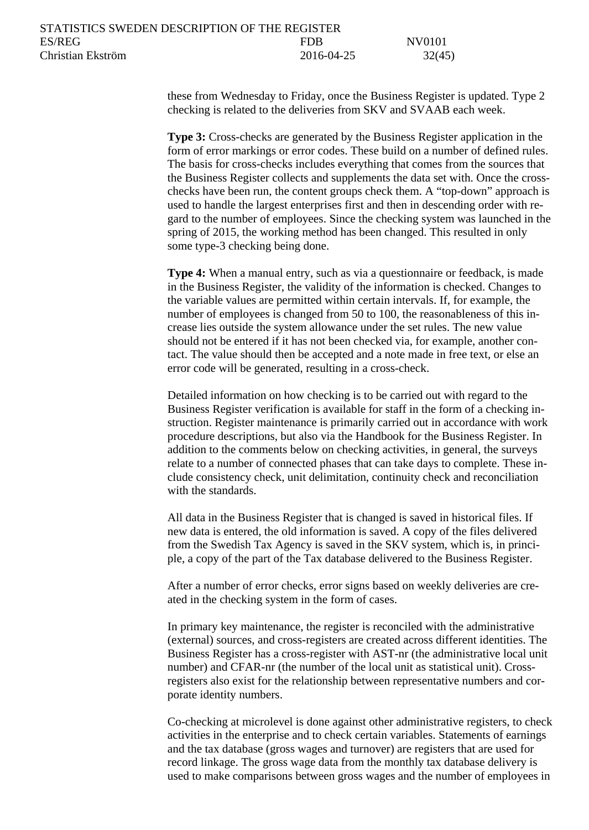these from Wednesday to Friday, once the Business Register is updated. Type 2 checking is related to the deliveries from SKV and SVAAB each week.

**Type 3:** Cross-checks are generated by the Business Register application in the form of error markings or error codes. These build on a number of defined rules. The basis for cross-checks includes everything that comes from the sources that the Business Register collects and supplements the data set with. Once the crosschecks have been run, the content groups check them. A "top-down" approach is used to handle the largest enterprises first and then in descending order with regard to the number of employees. Since the checking system was launched in the spring of 2015, the working method has been changed. This resulted in only some type-3 checking being done.

**Type 4:** When a manual entry, such as via a questionnaire or feedback, is made in the Business Register, the validity of the information is checked. Changes to the variable values are permitted within certain intervals. If, for example, the number of employees is changed from 50 to 100, the reasonableness of this increase lies outside the system allowance under the set rules. The new value should not be entered if it has not been checked via, for example, another contact. The value should then be accepted and a note made in free text, or else an error code will be generated, resulting in a cross-check.

Detailed information on how checking is to be carried out with regard to the Business Register verification is available for staff in the form of a checking instruction. Register maintenance is primarily carried out in accordance with work procedure descriptions, but also via the Handbook for the Business Register. In addition to the comments below on checking activities, in general, the surveys relate to a number of connected phases that can take days to complete. These include consistency check, unit delimitation, continuity check and reconciliation with the standards.

All data in the Business Register that is changed is saved in historical files. If new data is entered, the old information is saved. A copy of the files delivered from the Swedish Tax Agency is saved in the SKV system, which is, in principle, a copy of the part of the Tax database delivered to the Business Register.

After a number of error checks, error signs based on weekly deliveries are created in the checking system in the form of cases.

In primary key maintenance, the register is reconciled with the administrative (external) sources, and cross-registers are created across different identities. The Business Register has a cross-register with AST-nr (the administrative local unit number) and CFAR-nr (the number of the local unit as statistical unit). Crossregisters also exist for the relationship between representative numbers and corporate identity numbers.

Co-checking at microlevel is done against other administrative registers, to check activities in the enterprise and to check certain variables. Statements of earnings and the tax database (gross wages and turnover) are registers that are used for record linkage. The gross wage data from the monthly tax database delivery is used to make comparisons between gross wages and the number of employees in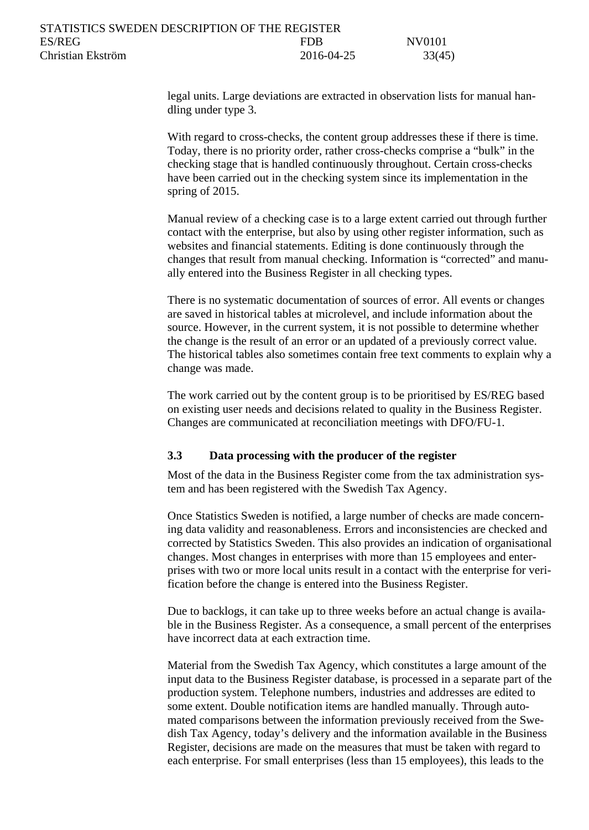legal units. Large deviations are extracted in observation lists for manual handling under type 3.

With regard to cross-checks, the content group addresses these if there is time. Today, there is no priority order, rather cross-checks comprise a "bulk" in the checking stage that is handled continuously throughout. Certain cross-checks have been carried out in the checking system since its implementation in the spring of 2015.

Manual review of a checking case is to a large extent carried out through further contact with the enterprise, but also by using other register information, such as websites and financial statements. Editing is done continuously through the changes that result from manual checking. Information is "corrected" and manually entered into the Business Register in all checking types.

There is no systematic documentation of sources of error. All events or changes are saved in historical tables at microlevel, and include information about the source. However, in the current system, it is not possible to determine whether the change is the result of an error or an updated of a previously correct value. The historical tables also sometimes contain free text comments to explain why a change was made.

The work carried out by the content group is to be prioritised by ES/REG based on existing user needs and decisions related to quality in the Business Register. Changes are communicated at reconciliation meetings with DFO/FU-1.

### <span id="page-32-0"></span>**3.3 Data processing with the producer of the register**

Most of the data in the Business Register come from the tax administration system and has been registered with the Swedish Tax Agency.

Once Statistics Sweden is notified, a large number of checks are made concerning data validity and reasonableness. Errors and inconsistencies are checked and corrected by Statistics Sweden. This also provides an indication of organisational changes. Most changes in enterprises with more than 15 employees and enterprises with two or more local units result in a contact with the enterprise for verification before the change is entered into the Business Register.

Due to backlogs, it can take up to three weeks before an actual change is available in the Business Register. As a consequence, a small percent of the enterprises have incorrect data at each extraction time.

Material from the Swedish Tax Agency, which constitutes a large amount of the input data to the Business Register database, is processed in a separate part of the production system. Telephone numbers, industries and addresses are edited to some extent. Double notification items are handled manually. Through automated comparisons between the information previously received from the Swedish Tax Agency, today's delivery and the information available in the Business Register, decisions are made on the measures that must be taken with regard to each enterprise. For small enterprises (less than 15 employees), this leads to the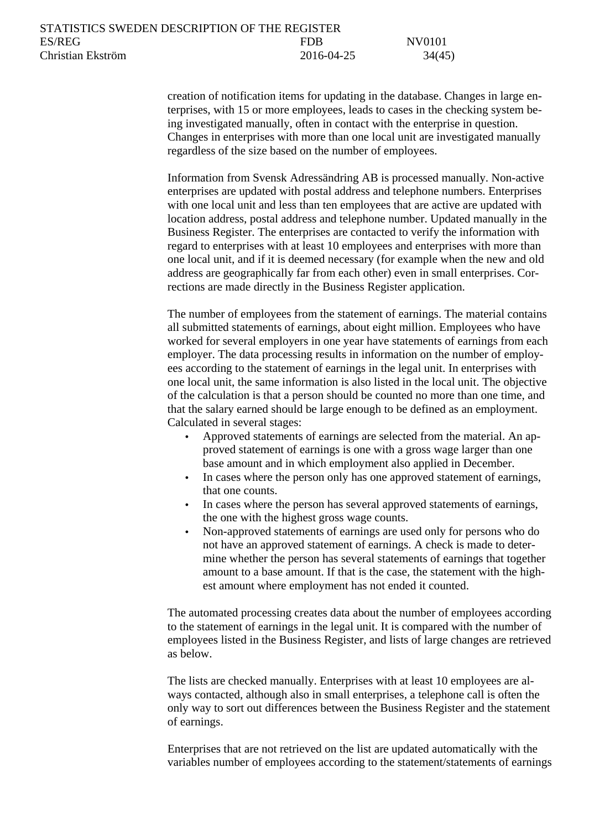creation of notification items for updating in the database. Changes in large enterprises, with 15 or more employees, leads to cases in the checking system being investigated manually, often in contact with the enterprise in question. Changes in enterprises with more than one local unit are investigated manually regardless of the size based on the number of employees.

Information from Svensk Adressändring AB is processed manually. Non-active enterprises are updated with postal address and telephone numbers. Enterprises with one local unit and less than ten employees that are active are updated with location address, postal address and telephone number. Updated manually in the Business Register. The enterprises are contacted to verify the information with regard to enterprises with at least 10 employees and enterprises with more than one local unit, and if it is deemed necessary (for example when the new and old address are geographically far from each other) even in small enterprises. Corrections are made directly in the Business Register application.

The number of employees from the statement of earnings. The material contains all submitted statements of earnings, about eight million. Employees who have worked for several employers in one year have statements of earnings from each employer. The data processing results in information on the number of employees according to the statement of earnings in the legal unit. In enterprises with one local unit, the same information is also listed in the local unit. The objective of the calculation is that a person should be counted no more than one time, and that the salary earned should be large enough to be defined as an employment. Calculated in several stages:

- Approved statements of earnings are selected from the material. An approved statement of earnings is one with a gross wage larger than one base amount and in which employment also applied in December.
- In cases where the person only has one approved statement of earnings, that one counts.
- In cases where the person has several approved statements of earnings, the one with the highest gross wage counts.
- Non-approved statements of earnings are used only for persons who do not have an approved statement of earnings. A check is made to determine whether the person has several statements of earnings that together amount to a base amount. If that is the case, the statement with the highest amount where employment has not ended it counted.

The automated processing creates data about the number of employees according to the statement of earnings in the legal unit. It is compared with the number of employees listed in the Business Register, and lists of large changes are retrieved as below.

The lists are checked manually. Enterprises with at least 10 employees are always contacted, although also in small enterprises, a telephone call is often the only way to sort out differences between the Business Register and the statement of earnings.

Enterprises that are not retrieved on the list are updated automatically with the variables number of employees according to the statement/statements of earnings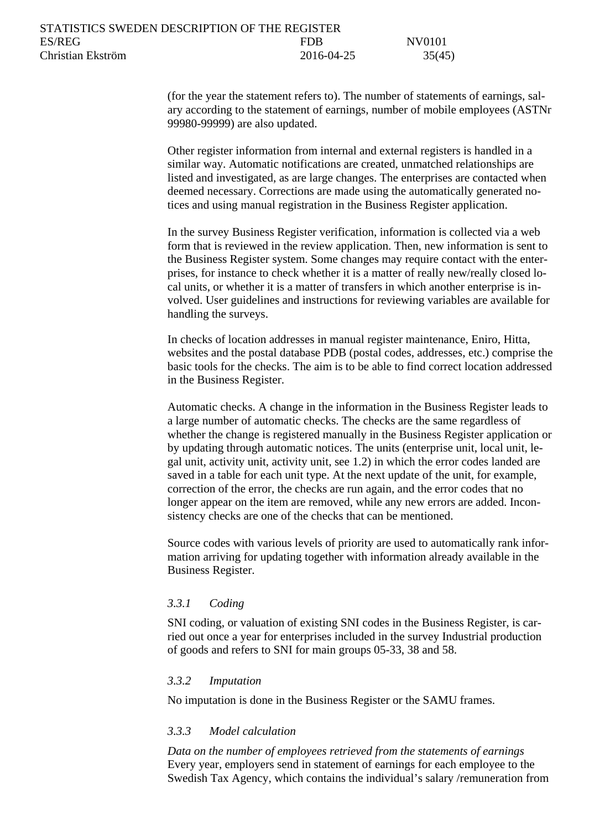(for the year the statement refers to). The number of statements of earnings, salary according to the statement of earnings, number of mobile employees (ASTNr 99980-99999) are also updated.

Other register information from internal and external registers is handled in a similar way. Automatic notifications are created, unmatched relationships are listed and investigated, as are large changes. The enterprises are contacted when deemed necessary. Corrections are made using the automatically generated notices and using manual registration in the Business Register application.

In the survey Business Register verification, information is collected via a web form that is reviewed in the review application. Then, new information is sent to the Business Register system. Some changes may require contact with the enterprises, for instance to check whether it is a matter of really new/really closed local units, or whether it is a matter of transfers in which another enterprise is involved. User guidelines and instructions for reviewing variables are available for handling the surveys.

In checks of location addresses in manual register maintenance, Eniro, Hitta, websites and the postal database PDB (postal codes, addresses, etc.) comprise the basic tools for the checks. The aim is to be able to find correct location addressed in the Business Register.

Automatic checks. A change in the information in the Business Register leads to a large number of automatic checks. The checks are the same regardless of whether the change is registered manually in the Business Register application or by updating through automatic notices. The units (enterprise unit, local unit, legal unit, activity unit, activity unit, see 1.2) in which the error codes landed are saved in a table for each unit type. At the next update of the unit, for example, correction of the error, the checks are run again, and the error codes that no longer appear on the item are removed, while any new errors are added. Inconsistency checks are one of the checks that can be mentioned.

Source codes with various levels of priority are used to automatically rank information arriving for updating together with information already available in the Business Register.

### <span id="page-34-0"></span>*3.3.1 Coding*

SNI coding, or valuation of existing SNI codes in the Business Register, is carried out once a year for enterprises included in the survey Industrial production of goods and refers to SNI for main groups 05-33, 38 and 58.

#### <span id="page-34-1"></span>*3.3.2 Imputation*

No imputation is done in the Business Register or the SAMU frames.

### <span id="page-34-2"></span>*3.3.3 Model calculation*

*Data on the number of employees retrieved from the statements of earnings* Every year, employers send in statement of earnings for each employee to the Swedish Tax Agency, which contains the individual's salary /remuneration from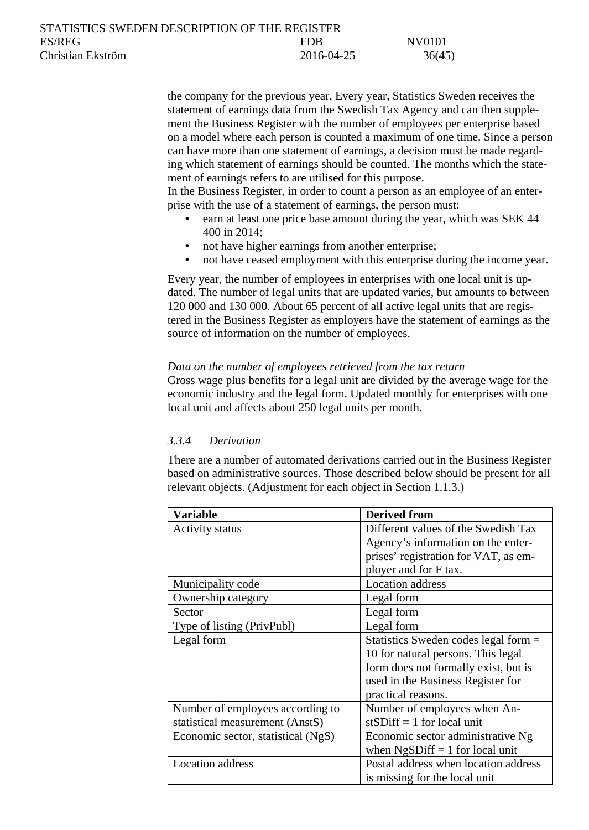| STATISTICS SWEDEN DESCRIPTION OF THE REGISTER |            |        |
|-----------------------------------------------|------------|--------|
| ES/REG                                        | <b>FDB</b> | NV0101 |
| Christian Ekström                             | 2016-04-25 | 36(45) |

the company for the previous year. Every year, Statistics Sweden receives the statement of earnings data from the Swedish Tax Agency and can then supplement the Business Register with the number of employees per enterprise based on a model where each person is counted a maximum of one time. Since a person can have more than one statement of earnings, a decision must be made regarding which statement of earnings should be counted. The months which the statement of earnings refers to are utilised for this purpose.

In the Business Register, in order to count a person as an employee of an enterprise with the use of a statement of earnings, the person must:

- earn at least one price base amount during the year, which was SEK 44 400 in 2014;
- not have higher earnings from another enterprise;
- not have ceased employment with this enterprise during the income year.

Every year, the number of employees in enterprises with one local unit is updated. The number of legal units that are updated varies, but amounts to between 120 000 and 130 000. About 65 percent of all active legal units that are registered in the Business Register as employers have the statement of earnings as the source of information on the number of employees.

#### *Data on the number of employees retrieved from the tax return*

Gross wage plus benefits for a legal unit are divided by the average wage for the economic industry and the legal form. Updated monthly for enterprises with one local unit and affects about 250 legal units per month.

#### <span id="page-35-0"></span>*3.3.4 Derivation*

There are a number of automated derivations carried out in the Business Register based on administrative sources. Those described below should be present for all relevant objects. (Adjustment for each object in Section 1.1.3.)

| Variable                           | <b>Derived from</b>                  |
|------------------------------------|--------------------------------------|
| <b>Activity status</b>             | Different values of the Swedish Tax  |
|                                    | Agency's information on the enter-   |
|                                    | prises' registration for VAT, as em- |
|                                    | ployer and for F tax.                |
| Municipality code                  | <b>Location</b> address              |
| Ownership category                 | Legal form                           |
| Sector                             | Legal form                           |
| Type of listing (PrivPubl)         | Legal form                           |
| Legal form                         | Statistics Sweden codes legal form = |
|                                    | 10 for natural persons. This legal   |
|                                    | form does not formally exist, but is |
|                                    | used in the Business Register for    |
|                                    | practical reasons.                   |
| Number of employees according to   | Number of employees when An-         |
| statistical measurement (AnstS)    | st $SDiff = 1$ for local unit        |
| Economic sector, statistical (NgS) | Economic sector administrative Ng    |
|                                    | when $NgSDiff = 1$ for local unit    |
| Location address                   | Postal address when location address |
|                                    | is missing for the local unit        |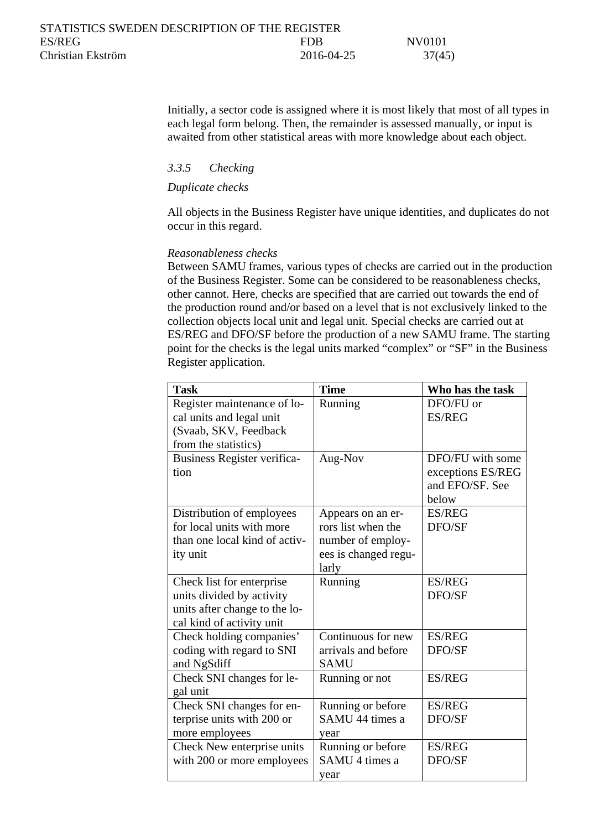Initially, a sector code is assigned where it is most likely that most of all types in each legal form belong. Then, the remainder is assessed manually, or input is awaited from other statistical areas with more knowledge about each object.

### <span id="page-36-0"></span>*3.3.5 Checking*

#### *Duplicate checks*

All objects in the Business Register have unique identities, and duplicates do not occur in this regard.

#### *Reasonableness checks*

Between SAMU frames, various types of checks are carried out in the production of the Business Register. Some can be considered to be reasonableness checks, other cannot. Here, checks are specified that are carried out towards the end of the production round and/or based on a level that is not exclusively linked to the collection objects local unit and legal unit. Special checks are carried out at ES/REG and DFO/SF before the production of a new SAMU frame. The starting point for the checks is the legal units marked "complex" or "SF" in the Business Register application.

| <b>Task</b>                   | <b>Time</b>          | Who has the task  |
|-------------------------------|----------------------|-------------------|
| Register maintenance of lo-   | Running              | DFO/FU or         |
| cal units and legal unit      |                      | <b>ES/REG</b>     |
| (Svaab, SKV, Feedback         |                      |                   |
| from the statistics)          |                      |                   |
| Business Register verifica-   | Aug-Nov              | DFO/FU with some  |
| tion                          |                      | exceptions ES/REG |
|                               |                      | and EFO/SF. See   |
|                               |                      | below             |
| Distribution of employees     | Appears on an er-    | <b>ES/REG</b>     |
| for local units with more     | rors list when the   | DFO/SF            |
| than one local kind of activ- | number of employ-    |                   |
| ity unit                      | ees is changed regu- |                   |
|                               | larly                |                   |
| Check list for enterprise     | Running              | <b>ES/REG</b>     |
| units divided by activity     |                      | DFO/SF            |
| units after change to the lo- |                      |                   |
| cal kind of activity unit     |                      |                   |
| Check holding companies'      | Continuous for new   | <b>ES/REG</b>     |
| coding with regard to SNI     | arrivals and before  | DFO/SF            |
| and NgSdiff                   | <b>SAMU</b>          |                   |
| Check SNI changes for le-     | Running or not       | <b>ES/REG</b>     |
| gal unit                      |                      |                   |
| Check SNI changes for en-     | Running or before    | <b>ES/REG</b>     |
| terprise units with 200 or    | SAMU 44 times a      | DFO/SF            |
| more employees                | year                 |                   |
| Check New enterprise units    | Running or before    | <b>ES/REG</b>     |
| with 200 or more employees    | SAMU 4 times a       | DFO/SF            |
|                               | year                 |                   |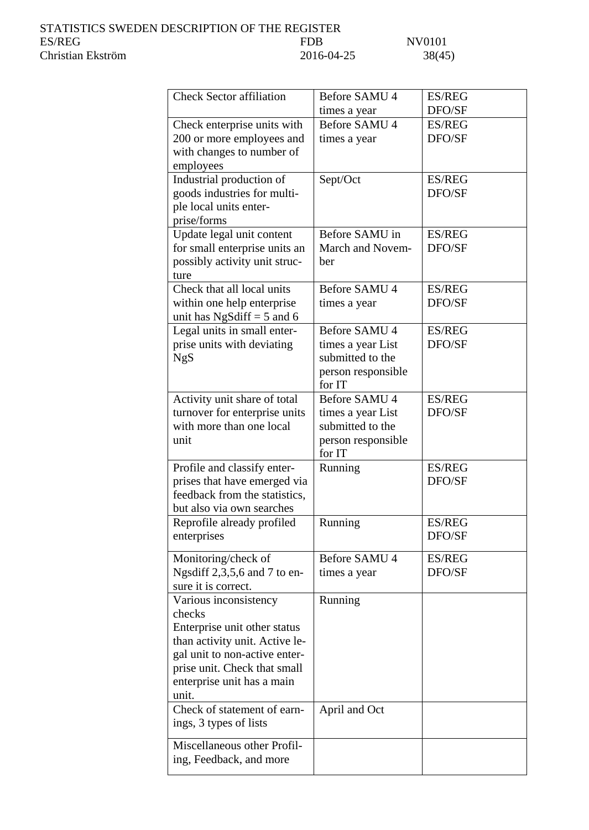| <b>FDB</b> |               | NV0101 |
|------------|---------------|--------|
|            | 2016-04-25    | 38(4)  |
|            |               |        |
|            |               |        |
|            | Before SAMU 4 | ES/I   |
|            |               |        |

| <b>Check Sector affiliation</b>                               | Before SAMU 4                         | <b>ES/REG</b> |
|---------------------------------------------------------------|---------------------------------------|---------------|
|                                                               | times a year                          | DFO/SF        |
| Check enterprise units with                                   | Before SAMU 4                         | <b>ES/REG</b> |
| 200 or more employees and                                     | times a year                          | DFO/SF        |
| with changes to number of                                     |                                       |               |
| employees                                                     |                                       |               |
| Industrial production of                                      | Sept/Oct                              | <b>ES/REG</b> |
| goods industries for multi-                                   |                                       | DFO/SF        |
| ple local units enter-                                        |                                       |               |
| prise/forms                                                   |                                       |               |
| Update legal unit content                                     | Before SAMU in                        | <b>ES/REG</b> |
| for small enterprise units an                                 | March and Novem-                      | DFO/SF        |
| possibly activity unit struc-                                 | ber                                   |               |
| ture                                                          |                                       |               |
| Check that all local units                                    | Before SAMU 4                         | <b>ES/REG</b> |
| within one help enterprise                                    | times a year                          | DFO/SF        |
| unit has NgSdiff = $5$ and $6$                                |                                       |               |
| Legal units in small enter-                                   | <b>Before SAMU 4</b>                  | <b>ES/REG</b> |
| prise units with deviating                                    | times a year List                     | DFO/SF        |
| <b>NgS</b>                                                    | submitted to the                      |               |
|                                                               | person responsible                    |               |
|                                                               | for IT                                |               |
| Activity unit share of total                                  | <b>Before SAMU 4</b>                  | <b>ES/REG</b> |
| turnover for enterprise units<br>with more than one local     | times a year List<br>submitted to the | DFO/SF        |
| unit                                                          |                                       |               |
|                                                               | person responsible<br>for IT          |               |
| Profile and classify enter-                                   | Running                               | <b>ES/REG</b> |
| prises that have emerged via                                  |                                       | DFO/SF        |
| feedback from the statistics,                                 |                                       |               |
| but also via own searches                                     |                                       |               |
| Reprofile already profiled                                    | Running                               | <b>ES/REG</b> |
| enterprises                                                   |                                       | DFO/SF        |
|                                                               |                                       |               |
| Monitoring/check of                                           | Before SAMU 4                         | <b>ES/REG</b> |
| Ngsdiff 2,3,5,6 and 7 to en-                                  | times a year                          | DFO/SF        |
| sure it is correct.                                           |                                       |               |
| Various inconsistency                                         | Running                               |               |
| checks                                                        |                                       |               |
| Enterprise unit other status                                  |                                       |               |
| than activity unit. Active le-                                |                                       |               |
| gal unit to non-active enter-<br>prise unit. Check that small |                                       |               |
| enterprise unit has a main                                    |                                       |               |
| unit.                                                         |                                       |               |
| Check of statement of earn-                                   | April and Oct                         |               |
| ings, 3 types of lists                                        |                                       |               |
|                                                               |                                       |               |
| Miscellaneous other Profil-                                   |                                       |               |
| ing, Feedback, and more                                       |                                       |               |
|                                                               |                                       |               |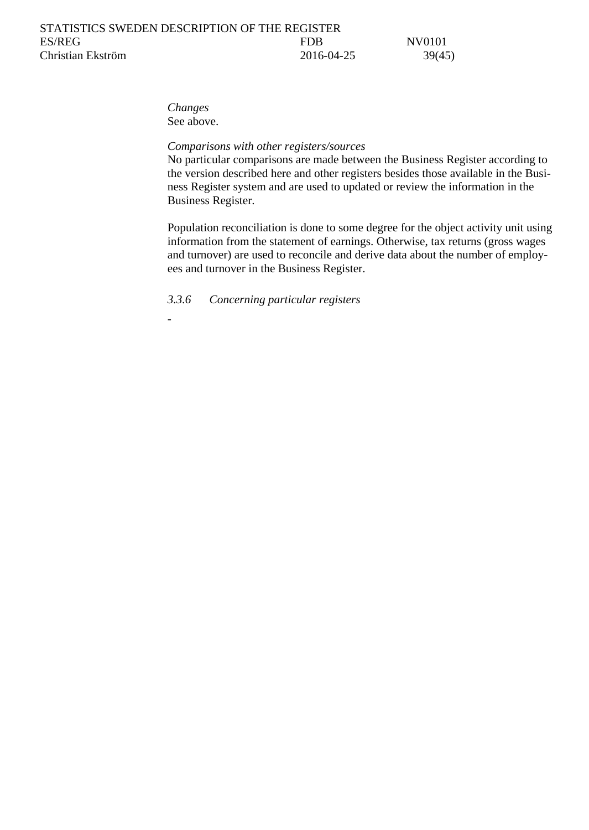*Changes* See above.

-

#### *Comparisons with other registers/sources*

No particular comparisons are made between the Business Register according to the version described here and other registers besides those available in the Business Register system and are used to updated or review the information in the Business Register.

Population reconciliation is done to some degree for the object activity unit using information from the statement of earnings. Otherwise, tax returns (gross wages and turnover) are used to reconcile and derive data about the number of employees and turnover in the Business Register.

<span id="page-38-0"></span>*3.3.6 Concerning particular registers*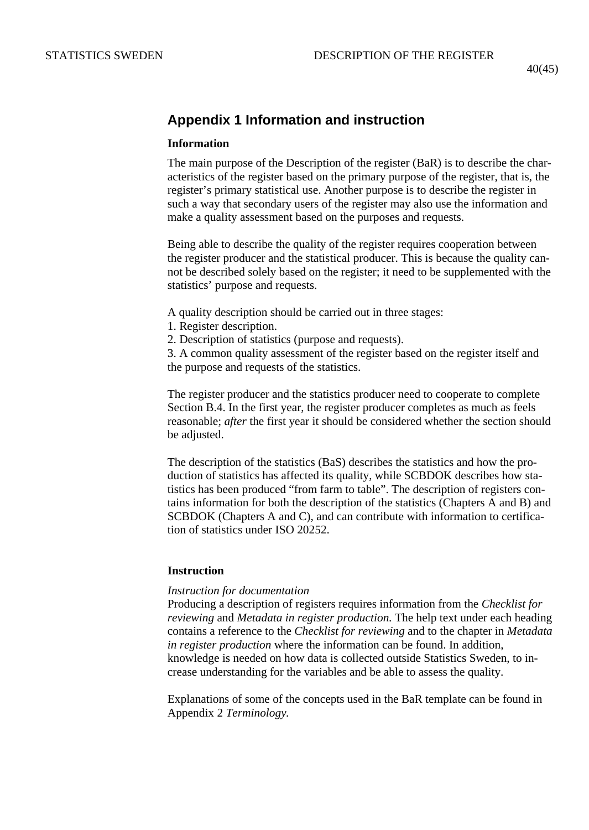# <span id="page-39-0"></span>**Appendix 1 Information and instruction**

#### **Information**

The main purpose of the Description of the register (BaR) is to describe the characteristics of the register based on the primary purpose of the register, that is, the register's primary statistical use. Another purpose is to describe the register in such a way that secondary users of the register may also use the information and make a quality assessment based on the purposes and requests.

Being able to describe the quality of the register requires cooperation between the register producer and the statistical producer. This is because the quality cannot be described solely based on the register; it need to be supplemented with the statistics' purpose and requests.

A quality description should be carried out in three stages:

- 1. Register description.
- 2. Description of statistics (purpose and requests).

3. A common quality assessment of the register based on the register itself and the purpose and requests of the statistics.

The register producer and the statistics producer need to cooperate to complete Section B.4. In the first year, the register producer completes as much as feels reasonable; *after* the first year it should be considered whether the section should be adjusted.

The description of the statistics (BaS) describes the statistics and how the production of statistics has affected its quality, while SCBDOK describes how statistics has been produced "from farm to table". The description of registers contains information for both the description of the statistics (Chapters A and B) and SCBDOK (Chapters A and C), and can contribute with information to certification of statistics under ISO 20252.

#### **Instruction**

#### *Instruction for documentation*

Producing a description of registers requires information from the *Checklist for reviewing* and *Metadata in register production.* The help text under each heading contains a reference to the *Checklist for reviewing* and to the chapter in *Metadata in register production* where the information can be found. In addition, knowledge is needed on how data is collected outside Statistics Sweden, to increase understanding for the variables and be able to assess the quality.

Explanations of some of the concepts used in the BaR template can be found in Appendix 2 *Terminology.*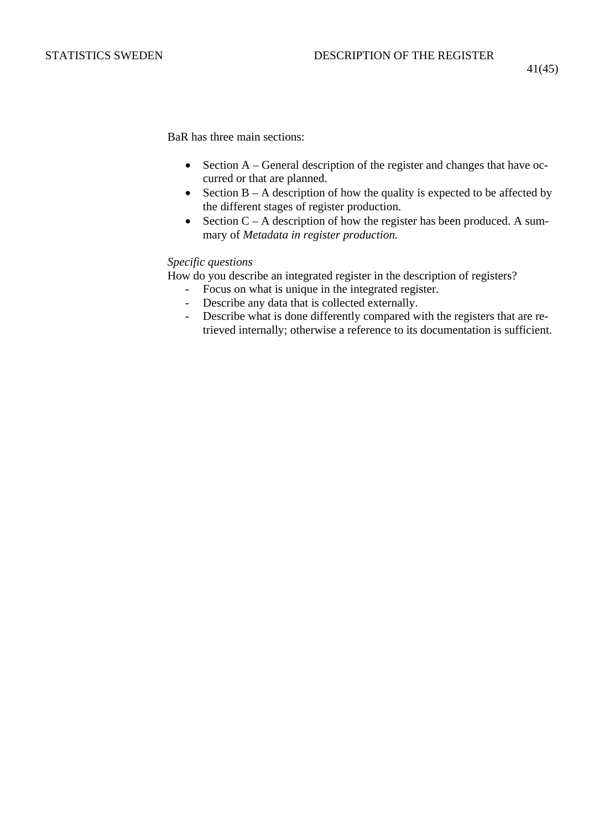41(45)

BaR has three main sections:

- Section A General description of the register and changes that have occurred or that are planned.
- Section  $B A$  description of how the quality is expected to be affected by the different stages of register production.
- Section  $C A$  description of how the register has been produced. A summary of *Metadata in register production.*

#### *Specific questions*

How do you describe an integrated register in the description of registers?

- Focus on what is unique in the integrated register.<br>- Describe any data that is collected externally.
- Describe any data that is collected externally.
- Describe what is done differently compared with the registers that are retrieved internally; otherwise a reference to its documentation is sufficient.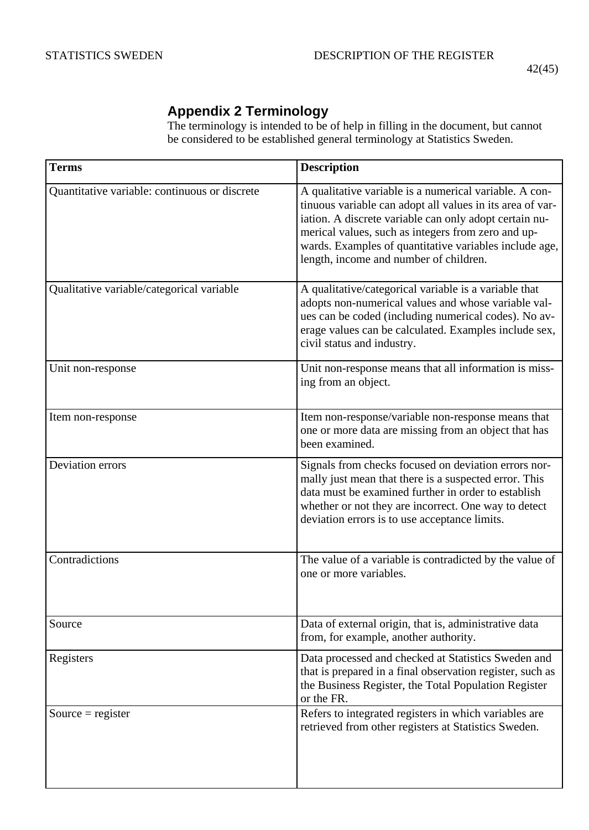## 42(45)

# <span id="page-41-0"></span>**Appendix 2 Terminology**

The terminology is intended to be of help in filling in the document, but cannot be considered to be established general terminology at Statistics Sweden.

| <b>Terms</b>                                  | <b>Description</b>                                                                                                                                                                                                                                                                                                                      |
|-----------------------------------------------|-----------------------------------------------------------------------------------------------------------------------------------------------------------------------------------------------------------------------------------------------------------------------------------------------------------------------------------------|
| Quantitative variable: continuous or discrete | A qualitative variable is a numerical variable. A con-<br>tinuous variable can adopt all values in its area of var-<br>iation. A discrete variable can only adopt certain nu-<br>merical values, such as integers from zero and up-<br>wards. Examples of quantitative variables include age,<br>length, income and number of children. |
| Qualitative variable/categorical variable     | A qualitative/categorical variable is a variable that<br>adopts non-numerical values and whose variable val-<br>ues can be coded (including numerical codes). No av-<br>erage values can be calculated. Examples include sex,<br>civil status and industry.                                                                             |
| Unit non-response                             | Unit non-response means that all information is miss-<br>ing from an object.                                                                                                                                                                                                                                                            |
| Item non-response                             | Item non-response/variable non-response means that<br>one or more data are missing from an object that has<br>been examined.                                                                                                                                                                                                            |
| Deviation errors                              | Signals from checks focused on deviation errors nor-<br>mally just mean that there is a suspected error. This<br>data must be examined further in order to establish<br>whether or not they are incorrect. One way to detect<br>deviation errors is to use acceptance limits.                                                           |
| Contradictions                                | The value of a variable is contradicted by the value of<br>one or more variables.                                                                                                                                                                                                                                                       |
| Source                                        | Data of external origin, that is, administrative data<br>from, for example, another authority.                                                                                                                                                                                                                                          |
| Registers                                     | Data processed and checked at Statistics Sweden and<br>that is prepared in a final observation register, such as<br>the Business Register, the Total Population Register<br>or the FR.                                                                                                                                                  |
| Source = register                             | Refers to integrated registers in which variables are<br>retrieved from other registers at Statistics Sweden.                                                                                                                                                                                                                           |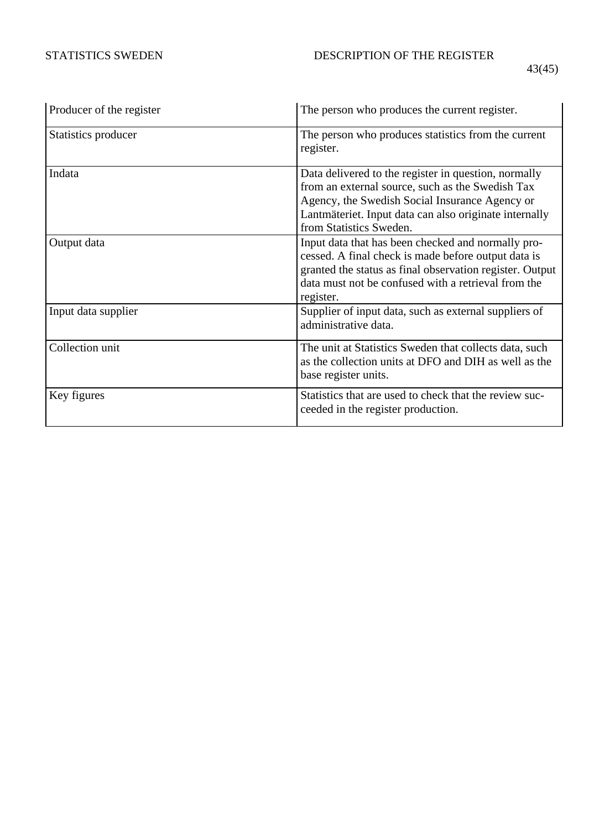|--|

| Producer of the register | The person who produces the current register.                                                                                                                                                                                                   |
|--------------------------|-------------------------------------------------------------------------------------------------------------------------------------------------------------------------------------------------------------------------------------------------|
| Statistics producer      | The person who produces statistics from the current<br>register.                                                                                                                                                                                |
| Indata                   | Data delivered to the register in question, normally<br>from an external source, such as the Swedish Tax<br>Agency, the Swedish Social Insurance Agency or<br>Lantmäteriet. Input data can also originate internally<br>from Statistics Sweden. |
| Output data              | Input data that has been checked and normally pro-<br>cessed. A final check is made before output data is<br>granted the status as final observation register. Output<br>data must not be confused with a retrieval from the<br>register.       |
| Input data supplier      | Supplier of input data, such as external suppliers of<br>administrative data.                                                                                                                                                                   |
| Collection unit          | The unit at Statistics Sweden that collects data, such<br>as the collection units at DFO and DIH as well as the<br>base register units.                                                                                                         |
| Key figures              | Statistics that are used to check that the review suc-<br>ceeded in the register production.                                                                                                                                                    |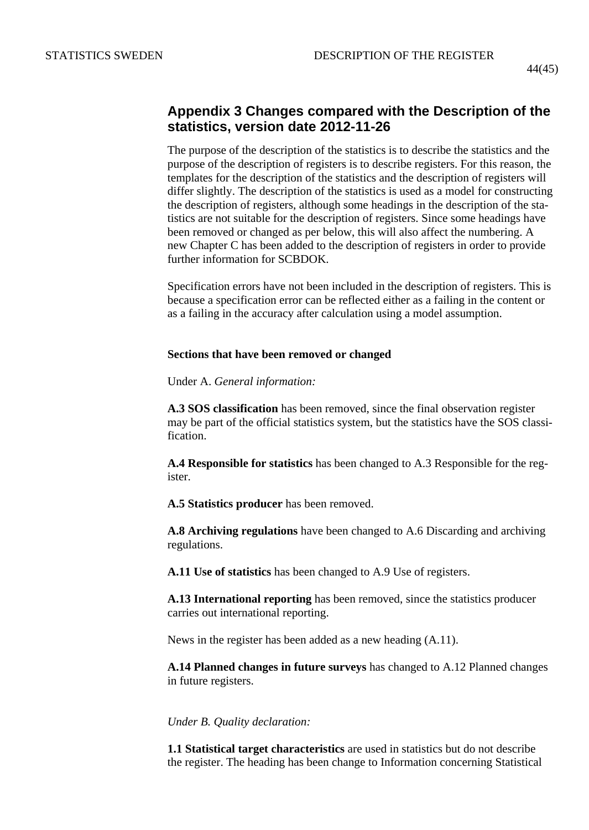## <span id="page-43-0"></span>**Appendix 3 Changes compared with the Description of the statistics, version date 2012-11-26**

The purpose of the description of the statistics is to describe the statistics and the purpose of the description of registers is to describe registers. For this reason, the templates for the description of the statistics and the description of registers will differ slightly. The description of the statistics is used as a model for constructing the description of registers, although some headings in the description of the statistics are not suitable for the description of registers. Since some headings have been removed or changed as per below, this will also affect the numbering. A new Chapter C has been added to the description of registers in order to provide further information for SCBDOK.

Specification errors have not been included in the description of registers. This is because a specification error can be reflected either as a failing in the content or as a failing in the accuracy after calculation using a model assumption.

#### **Sections that have been removed or changed**

Under A. *General information:*

**A.3 SOS classification** has been removed, since the final observation register may be part of the official statistics system, but the statistics have the SOS classification.

**A.4 Responsible for statistics** has been changed to A.3 Responsible for the register.

**A.5 Statistics producer** has been removed.

**A.8 Archiving regulations** have been changed to A.6 Discarding and archiving regulations.

**A.11 Use of statistics** has been changed to A.9 Use of registers.

**A.13 International reporting** has been removed, since the statistics producer carries out international reporting.

News in the register has been added as a new heading (A.11).

**A.14 Planned changes in future surveys** has changed to A.12 Planned changes in future registers.

*Under B. Quality declaration:*

**1.1 Statistical target characteristics** are used in statistics but do not describe the register. The heading has been change to Information concerning Statistical